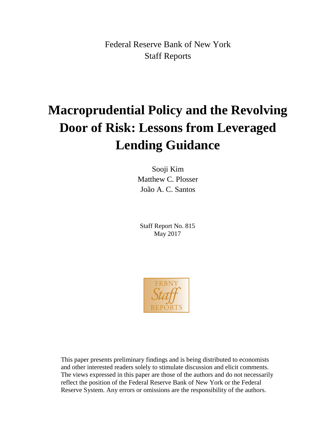Federal Reserve Bank of New York Staff Reports

# **Macroprudential Policy and the Revolving Door of Risk: Lessons from Leveraged Lending Guidance**

Sooji Kim Matthew C. Plosser João A. C. Santos

Staff Report No. 815 May 2017



This paper presents preliminary findings and is being distributed to economists and other interested readers solely to stimulate discussion and elicit comments. The views expressed in this paper are those of the authors and do not necessarily reflect the position of the Federal Reserve Bank of New York or the Federal Reserve System. Any errors or omissions are the responsibility of the authors.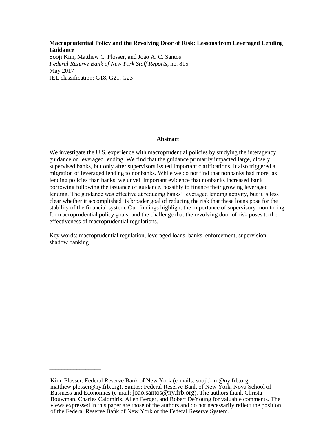## **Macroprudential Policy and the Revolving Door of Risk: Lessons from Leveraged Lending Guidance**

Sooji Kim, Matthew C. Plosser, and João A. C. Santos *Federal Reserve Bank of New York Staff Reports*, no. 815 May 2017 JEL classification: G18, G21, G23

## **Abstract**

We investigate the U.S. experience with macroprudential policies by studying the interagency guidance on leveraged lending. We find that the guidance primarily impacted large, closely supervised banks, but only after supervisors issued important clarifications. It also triggered a migration of leveraged lending to nonbanks. While we do not find that nonbanks had more lax lending policies than banks, we unveil important evidence that nonbanks increased bank borrowing following the issuance of guidance, possibly to finance their growing leveraged lending. The guidance was effective at reducing banks' leveraged lending activity, but it is less clear whether it accomplished its broader goal of reducing the risk that these loans pose for the stability of the financial system. Our findings highlight the importance of supervisory monitoring for macroprudential policy goals, and the challenge that the revolving door of risk poses to the effectiveness of macroprudential regulations.

Key words: macroprudential regulation, leveraged loans, banks, enforcement, supervision, shadow banking

\_\_\_\_\_\_\_\_\_\_\_\_\_\_\_\_\_

Kim, Plosser: Federal Reserve Bank of New York (e-mails: sooji.kim@ny.frb.org, matthew.plosser@ny.frb.org). Santos: Federal Reserve Bank of New York, Nova School of Business and Economics (e-mail: joao.santos@ny.frb.org). The authors thank Christa Bouwman, Charles Calomiris, Allen Berger, and Robert DeYoung for valuable comments. The views expressed in this paper are those of the authors and do not necessarily reflect the position of the Federal Reserve Bank of New York or the Federal Reserve System.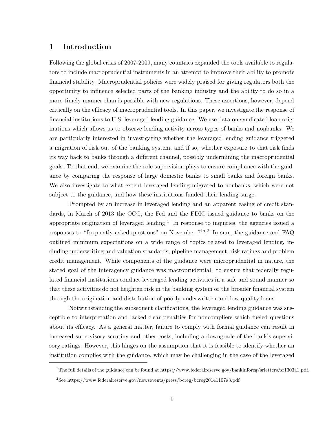# **1 Introduction**

Following the global crisis of 2007-2009, many countries expanded the tools available to regulators to include macroprudential instruments in an attempt to improve their ability to promote financial stability. Macroprudential policies were widely praised for giving regulators both the opportunity to influence selected parts of the banking industry and the ability to do so in a more-timely manner than is possible with new regulations. These assertions, however, depend critically on the efficacy of macroprudential tools. In this paper, we investigate the response of financial institutions to U.S. leveraged lending guidance. We use data on syndicated loan originations which allows us to observe lending activity across types of banks and nonbanks. We are particularly interested in investigating whether the leveraged lending guidance triggered a migration of risk out of the banking system, and if so, whether exposure to that risk finds its way back to banks through a different channel, possibly undermining the macroprudential goals. To that end, we examine the role supervision plays to ensure compliance with the guidance by comparing the response of large domestic banks to small banks and foreign banks. We also investigate to what extent leveraged lending migrated to nonbanks, which were not subject to the guidance, and how these institutions funded their lending surge.

Prompted by an increase in leveraged lending and an apparent easing of credit standards, in March of 2013 the OCC, the Fed and the FDIC issued guidance to banks on the appropriate origination of leveraged lending.<sup>1</sup> In response to inquiries, the agencies issued a responses to "frequently asked questions" on November  $7<sup>th</sup>$ .<sup>2</sup> In sum, the guidance and FAQ outlined minimum expectations on a wide range of topics related to leveraged lending, including underwriting and valuation standards, pipeline management, risk ratings and problem credit management. While components of the guidance were microprudential in nature, the stated goal of the interagency guidance was macroprudential: to ensure that federally regulated financial institutions conduct leveraged lending activities in a safe and sound manner so that these activities do not heighten risk in the banking system or the broader financial system through the origination and distribution of poorly underwritten and low-quality loans.

Notwithstanding the subsequent clarifications, the leveraged lending guidance was susceptible to interpretation and lacked clear penalties for noncompliers which fueled questions about its efficacy. As a general matter, failure to comply with formal guidance can result in increased supervisory scrutiny and other costs, including a downgrade of the bank's supervisory ratings. However, this hinges on the assumption that it is feasible to identify whether an institution complies with the guidance, which may be challenging in the case of the leveraged

 $1$ The full details of the guidance can be found at https://www.federalreserve.gov/bankinforeg/srletters/sr1303a1.pdf. <sup>2</sup>See https://www.federalreserve.gov/newsevents/press/bcreg/bcreg20141107a3.pdf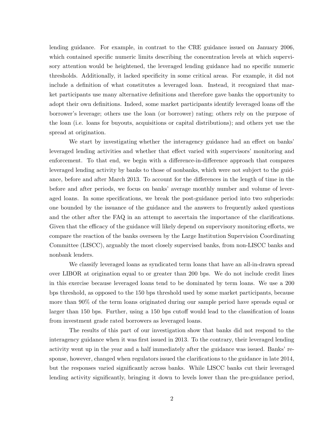lending guidance. For example, in contrast to the CRE guidance issued on January 2006, which contained specific numeric limits describing the concentration levels at which supervisory attention would be heightened, the leveraged lending guidance had no specific numeric thresholds. Additionally, it lacked specificity in some critical areas. For example, it did not include a definition of what constitutes a leveraged loan. Instead, it recognized that market participants use many alternative definitions and therefore gave banks the opportunity to adopt their own definitions. Indeed, some market participants identify leveraged loans off the borrower's leverage; others use the loan (or borrower) rating; others rely on the purpose of the loan (i.e. loans for buyouts, acquisitions or capital distributions); and others yet use the spread at origination.

We start by investigating whether the interagency guidance had an effect on banks' leveraged lending activities and whether that effect varied with supervisors' monitoring and enforcement. To that end, we begin with a difference-in-difference approach that compares leveraged lending activity by banks to those of nonbanks, which were not subject to the guidance, before and after March 2013. To account for the differences in the length of time in the before and after periods, we focus on banks' average monthly number and volume of leveraged loans. In some specifications, we break the post-guidance period into two subperiods: one bounded by the issuance of the guidance and the answers to frequently asked questions and the other after the FAQ in an attempt to ascertain the importance of the clarifications. Given that the efficacy of the guidance will likely depend on supervisory monitoring efforts, we compare the reaction of the banks overseen by the Large Institution Supervision Coordinating Committee (LISCC), arguably the most closely supervised banks, from non-LISCC banks and nonbank lenders.

We classify leveraged loans as syndicated term loans that have an all-in-drawn spread over LIBOR at origination equal to or greater than 200 bps. We do not include credit lines in this exercise because leveraged loans tend to be dominated by term loans. We use a 200 bps threshold, as opposed to the 150 bps threshold used by some market participants, because more than 90% of the term loans originated during our sample period have spreads equal or larger than 150 bps. Further, using a 150 bps cutoff would lead to the classification of loans from investment grade rated borrowers as leveraged loans.

The results of this part of our investigation show that banks did not respond to the interagency guidance when it was first issued in 2013. To the contrary, their leveraged lending activity went up in the year and a half immediately after the guidance was issued. Banks' response, however, changed when regulators issued the clarifications to the guidance in late 2014, but the responses varied significantly across banks. While LISCC banks cut their leveraged lending activity significantly, bringing it down to levels lower than the pre-guidance period,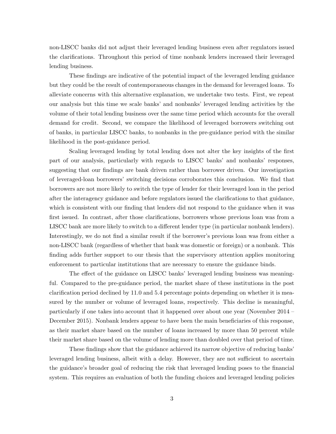non-LISCC banks did not adjust their leveraged lending business even after regulators issued the clarifications. Throughout this period of time nonbank lenders increased their leveraged lending business.

These findings are indicative of the potential impact of the leveraged lending guidance but they could be the result of contemporaneous changes in the demand for leveraged loans. To alleviate concerns with this alternative explanation, we undertake two tests. First, we repeat our analysis but this time we scale banks' and nonbanks' leveraged lending activities by the volume of their total lending business over the same time period which accounts for the overall demand for credit. Second, we compare the likelihood of leveraged borrowers switching out of banks, in particular LISCC banks, to nonbanks in the pre-guidance period with the similar likelihood in the post-guidance period.

Scaling leveraged lending by total lending does not alter the key insights of the first part of our analysis, particularly with regards to LISCC banks' and nonbanks' responses, suggesting that our findings are bank driven rather than borrower driven. Our investigation of leveraged-loan borrowers' switching decisions corroborates this conclusion. We find that borrowers are not more likely to switch the type of lender for their leveraged loan in the period after the interagency guidance and before regulators issued the clarifications to that guidance, which is consistent with our finding that lenders did not respond to the guidance when it was first issued. In contrast, after those clarifications, borrowers whose previous loan was from a LISCC bank are more likely to switch to a different lender type (in particular nonbank lenders). Interestingly, we do not find a similar result if the borrower's previous loan was from either a non-LISCC bank (regardless of whether that bank was domestic or foreign) or a nonbank. This finding adds further support to our thesis that the supervisory attention applies monitoring enforcement to particular institutions that are necessary to ensure the guidance binds.

The effect of the guidance on LISCC banks' leveraged lending business was meaningful. Compared to the pre-guidance period, the market share of these institutions in the post clarification period declined by 11.0 and 5.4 percentage points depending on whether it is measured by the number or volume of leveraged loans, respectively. This decline is meaningful, particularly if one takes into account that it happened over about one year (November 2014 – December 2015). Nonbank lenders appear to have been the main beneficiaries of this response, as their market share based on the number of loans increased by more than 50 percent while their market share based on the volume of lending more than doubled over that period of time.

These findings show that the guidance achieved its narrow objective of reducing banks' leveraged lending business, albeit with a delay. However, they are not sufficient to ascertain the guidance's broader goal of reducing the risk that leveraged lending poses to the financial system. This requires an evaluation of both the funding choices and leveraged lending policies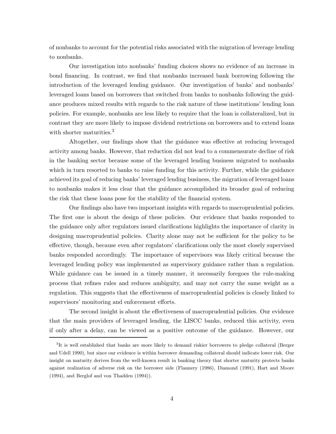of nonbanks to account for the potential risks associated with the migration of leverage lending to nonbanks.

Our investigation into nonbanks' funding choices shows no evidence of an increase in bond financing. In contrast, we find that nonbanks increased bank borrowing following the introduction of the leveraged lending guidance. Our investigation of banks' and nonbanks' leveraged loans based on borrowers that switched from banks to nonbanks following the guidance produces mixed results with regards to the risk nature of these institutions' lending loan policies. For example, nonbanks are less likely to require that the loan is collateralized, but in contrast they are more likely to impose dividend restrictions on borrowers and to extend loans with shorter maturities.<sup>3</sup>

Altogether, our findings show that the guidance was effective at reducing leveraged activity among banks. However, that reduction did not lead to a commensurate decline of risk in the banking sector because some of the leveraged lending business migrated to nonbanks which in turn resorted to banks to raise funding for this activity. Further, while the guidance achieved its goal of reducing banks' leveraged lending business, the migration of leveraged loans to nonbanks makes it less clear that the guidance accomplished its broader goal of reducing the risk that these loans pose for the stability of the financial system.

Our findings also have two important insights with regards to macroprudential policies. The first one is about the design of these policies. Our evidence that banks responded to the guidance only after regulators issued clarifications highlights the importance of clarity in designing macroprudential policies. Clarity alone may not be sufficient for the policy to be effective, though, because even after regulators' clarifications only the most closely supervised banks responded accordingly. The importance of supervisors was likely critical because the leveraged lending policy was implemented as supervisory guidance rather than a regulation. While guidance can be issued in a timely manner, it necessarily foregoes the rule-making process that refines rules and reduces ambiguity, and may not carry the same weight as a regulation. This suggests that the effectiveness of macroprudential policies is closely linked to supervisors' monitoring and enforcement efforts.

The second insight is about the effectiveness of macroprudential policies. Our evidence that the main providers of leveraged lending, the LISCC banks, reduced this activity, even if only after a delay, can be viewed as a positive outcome of the guidance. However, our

<sup>&</sup>lt;sup>3</sup>It is well established that banks are more likely to demand riskier borrowers to pledge collateral (Berger and Udell 1990), but since our evidence is within borrower demanding collateral should indicate lower risk. Our insight on maturity derives from the well-known result in banking theory that shorter maturity protects banks against realization of adverse risk on the borrower side (Flannery (1986), Diamond (1991), Hart and Moore (1994), and Berglof and von Thadden (1994)).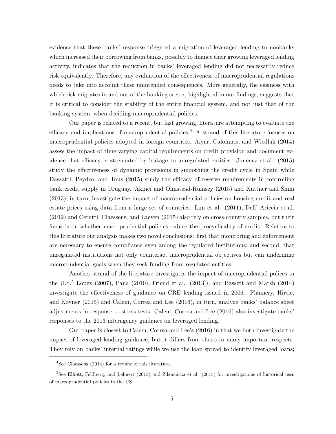evidence that these banks' response triggered a migration of leveraged lending to nonbanks which increased their borrowing from banks, possibly to finance their growing leveraged lending activity, indicates that the reduction in banks' leveraged lending did not necessarily reduce risk equivalently. Therefore, any evaluation of the effectiveness of macroprudential regulations needs to take into account these unintended consequences. More generally, the easiness with which risk migrates in and out of the banking sector, highlighted in our findings, suggests that it is critical to consider the stability of the entire financial system, and not just that of the banking system, when deciding macroprudential policies.

Our paper is related to a recent, but fast growing, literature attempting to evaluate the efficacy and implications of macroprudential policies.<sup>4</sup> A strand of this literature focuses on macroprudential policies adopted in foreign countries. Aiyar, Calomiris, and Wiedlak (2014) assess the impact of time-varying capital requirements on credit provision and document evidence that efficacy is attenuated by leakage to unregulated entities. Jimenez et al. (2015) study the effectiveness of dynamic provisions in smoothing the credit cycle in Spain while Dassatti, Peydro, and Tous (2015) study the efficacy of reserve requirements in controlling bank credit supply in Uruguay. Akinci and Olmstead-Rumsey (2015) and Kuttner and Shim (2013), in turn, investigate the impact of macroprudential policies on housing credit and real estate prices using data from a large set of countries. Lim et al. (2011), Dell' Ariccia et al. (2012) and Cerutti, Claessens, and Laeven (2015) also rely on cross-country samples, but their focus is on whether macroprudential policies reduce the procyclicality of credit. Relative to this literature our analysis makes two novel conclusions: first that monitoring and enforcement are necessary to ensure compliance even among the regulated institutions; and second, that unregulated institutions not only counteract macroprudential objectives but can undermine microprudential goals when they seek funding from regulated entities.

Another strand of the literature investigates the impact of macroprudential polices in the U.S.<sup>5</sup> Lopez (2007), Pana (2010), Friend et al. (2013), and Bassett and Marsh (2014) investigate the effectiveness of guidance on CRE lending issued in 2006. Flannery, Hirtle, and Kovner (2015) and Calem, Correa and Lee (2016), in turn, analyze banks' balance sheet adjustments in response to stress tests. Calem, Correa and Lee (2016) also investigate banks' responses to the 2013 interagency guidance on leveraged lending.

Our paper is closest to Calem, Correa and Lee's (2016) in that we both investigate the impact of leveraged lending guidance, but it differs from theirs in many important respects. They rely on banks' internal ratings while we use the loan spread to identify leveraged loans;

<sup>4</sup>See Claessens (2014) for a review of this literature.

<sup>5</sup>See Elliott, Feldberg, and Lehnert (2013) and Zdzienicka et al. (2015) for investigations of historical uses of macroprudential policies in the US.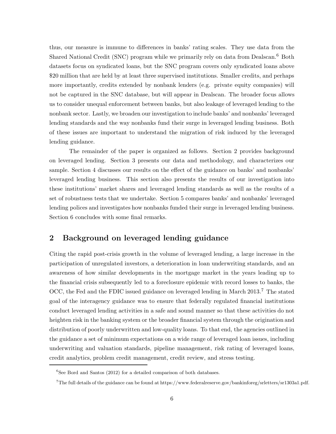thus, our measure is immune to differences in banks' rating scales. They use data from the Shared National Credit (SNC) program while we primarily rely on data from Dealscan.<sup>6</sup> Both datasets focus on syndicated loans, but the SNC program covers only syndicated loans above \$20 million that are held by at least three supervised institutions. Smaller credits, and perhaps more importantly, credits extended by nonbank lenders (e.g. private equity companies) will not be captured in the SNC database, but will appear in Dealscan. The broader focus allows us to consider unequal enforcement between banks, but also leakage of leveraged lending to the nonbank sector. Lastly, we broaden our investigation to include banks' and nonbanks' leveraged lending standards and the way nonbanks fund their surge in leveraged lending business. Both of these issues are important to understand the migration of risk induced by the leveraged lending guidance.

The remainder of the paper is organized as follows. Section 2 provides background on leveraged lending. Section 3 presents our data and methodology, and characterizes our sample. Section 4 discusses our results on the effect of the guidance on banks' and nonbanks' leveraged lending business. This section also presents the results of our investigation into these institutions' market shares and leveraged lending standards as well as the results of a set of robustness tests that we undertake. Section 5 compares banks' and nonbanks' leveraged lending polices and investigates how nonbanks funded their surge in leveraged lending business. Section 6 concludes with some final remarks.

# **2 Background on leveraged lending guidance**

Citing the rapid post-crisis growth in the volume of leveraged lending, a large increase in the participation of unregulated investors, a deterioration in loan underwriting standards, and an awareness of how similar developments in the mortgage market in the years leading up to the financial crisis subsequently led to a foreclosure epidemic with record losses to banks, the OCC, the Fed and the FDIC issued guidance on leveraged lending in March 2013.<sup>7</sup> The stated goal of the interagency guidance was to ensure that federally regulated financial institutions conduct leveraged lending activities in a safe and sound manner so that these activities do not heighten risk in the banking system or the broader financial system through the origination and distribution of poorly underwritten and low-quality loans. To that end, the agencies outlined in the guidance a set of minimum expectations on a wide range of leveraged loan issues, including underwriting and valuation standards, pipeline management, risk rating of leveraged loans, credit analytics, problem credit management, credit review, and stress testing.

 ${}^{6}$ See Bord and Santos (2012) for a detailed comparison of both databases.

<sup>7</sup>The full details of the guidance can be found at https://www.federalreserve.gov/bankinforeg/srletters/sr1303a1.pdf.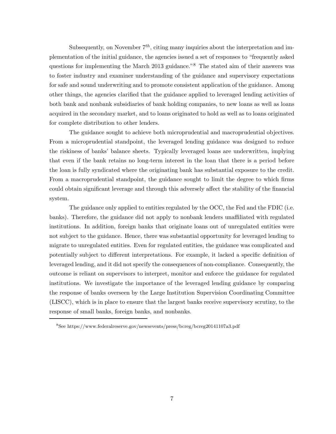Subsequently, on November  $7<sup>th</sup>$ , citing many inquiries about the interpretation and implementation of the initial guidance, the agencies issued a set of responses to "frequently asked questions for implementing the March 2013 guidance."<sup>8</sup> The stated aim of their answers was to foster industry and examiner understanding of the guidance and supervisory expectations for safe and sound underwriting and to promote consistent application of the guidance. Among other things, the agencies clarified that the guidance applied to leveraged lending activities of both bank and nonbank subsidiaries of bank holding companies, to new loans as well as loans acquired in the secondary market, and to loans originated to hold as well as to loans originated for complete distribution to other lenders.

The guidance sought to achieve both microprudential and macroprudential objectives. From a microprudential standpoint, the leveraged lending guidance was designed to reduce the riskiness of banks' balance sheets. Typically leveraged loans are underwritten, implying that even if the bank retains no long-term interest in the loan that there is a period before the loan is fully syndicated where the originating bank has substantial exposure to the credit. From a macroprudential standpoint, the guidance sought to limit the degree to which firms could obtain significant leverage and through this adversely affect the stability of the financial system.

The guidance only applied to entities regulated by the OCC, the Fed and the FDIC (i.e. banks). Therefore, the guidance did not apply to nonbank lenders unaffiliated with regulated institutions. In addition, foreign banks that originate loans out of unregulated entities were not subject to the guidance. Hence, there was substantial opportunity for leveraged lending to migrate to unregulated entities. Even for regulated entities, the guidance was complicated and potentially subject to different interpretations. For example, it lacked a specific definition of leveraged lending, and it did not specify the consequences of non-compliance. Consequently, the outcome is reliant on supervisors to interpret, monitor and enforce the guidance for regulated institutions. We investigate the importance of the leveraged lending guidance by comparing the response of banks overseen by the Large Institution Supervision Coordinating Committee (LISCC), which is in place to ensure that the largest banks receive supervisory scrutiny, to the response of small banks, foreign banks, and nonbanks.

<sup>8</sup>See https://www.federalreserve.gov/newsevents/press/bcreg/bcreg20141107a3.pdf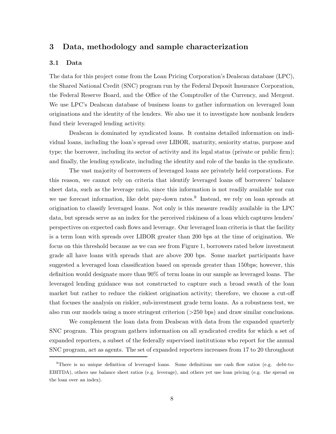## **3 Data, methodology and sample characterization**

## **3.1 Data**

The data for this project come from the Loan Pricing Corporation's Dealscan database (LPC), the Shared National Credit (SNC) program run by the Federal Deposit Insurance Corporation, the Federal Reserve Board, and the Office of the Comptroller of the Currency, and Mergent. We use LPC's Dealscan database of business loans to gather information on leveraged loan originations and the identity of the lenders. We also use it to investigate how nonbank lenders fund their leveraged lending activity.

Dealscan is dominated by syndicated loans. It contains detailed information on individual loans, including the loan's spread over LIBOR, maturity, seniority status, purpose and type; the borrower, including its sector of activity and its legal status (private or public firm); and finally, the lending syndicate, including the identity and role of the banks in the syndicate.

The vast majority of borrowers of leveraged loans are privately held corporations. For this reason, we cannot rely on criteria that identify leveraged loans off borrowers' balance sheet data, such as the leverage ratio, since this information is not readily available nor can we use forecast information, like debt pay-down rates.<sup>9</sup> Instead, we rely on loan spreads at origination to classify leveraged loans. Not only is this measure readily available in the LPC data, but spreads serve as an index for the perceived riskiness of a loan which captures lenders' perspectives on expected cash flows and leverage. Our leveraged loan criteria is that the facility is a term loan with spreads over LIBOR greater than 200 bps at the time of origination. We focus on this threshold because as we can see from Figure 1, borrowers rated below investment grade all have loans with spreads that are above 200 bps. Some market participants have suggested a leveraged loan classification based on spreads greater than 150bps; however, this definition would designate more than 90% of term loans in our sample as leveraged loans. The leveraged lending guidance was not constructed to capture such a broad swath of the loan market but rather to reduce the riskiest origination activity; therefore, we choose a cut-off that focuses the analysis on riskier, sub-investment grade term loans. As a robustness test, we also run our models using a more stringent criterion (*>*250 bps) and draw similar conclusions.

We complement the loan data from Dealscan with data from the expanded quarterly SNC program. This program gathers information on all syndicated credits for which a set of expanded reporters, a subset of the federally supervised institutions who report for the annual SNC program, act as agents. The set of expanded reporters increases from 17 to 20 throughout

<sup>9</sup>There is no unique definition of leveraged loans. Some definitions use cash flow ratios (e.g. debt-to-EBITDA), others use balance sheet ratios (e.g. leverage), and others yet use loan pricing (e.g. the spread on the loan over an index).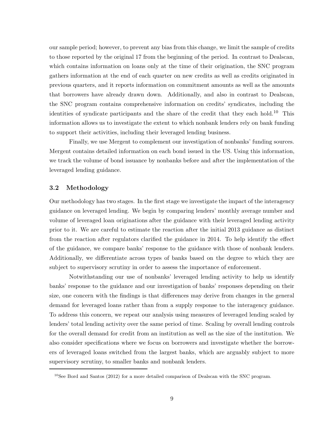our sample period; however, to prevent any bias from this change, we limit the sample of credits to those reported by the original 17 from the beginning of the period. In contrast to Dealscan, which contains information on loans only at the time of their origination, the SNC program gathers information at the end of each quarter on new credits as well as credits originated in previous quarters, and it reports information on commitment amounts as well as the amounts that borrowers have already drawn down. Additionally, and also in contrast to Dealscan, the SNC program contains comprehensive information on credits' syndicates, including the identities of syndicate participants and the share of the credit that they each hold.<sup>10</sup> This information allows us to investigate the extent to which nonbank lenders rely on bank funding to support their activities, including their leveraged lending business.

Finally, we use Mergent to complement our investigation of nonbanks' funding sources. Mergent contains detailed information on each bond issued in the US. Using this information, we track the volume of bond issuance by nonbanks before and after the implementation of the leveraged lending guidance.

## **3.2 Methodology**

Our methodology has two stages. In the first stage we investigate the impact of the interagency guidance on leveraged lending. We begin by comparing lenders' monthly average number and volume of leveraged loan originations after the guidance with their leveraged lending activity prior to it. We are careful to estimate the reaction after the initial 2013 guidance as distinct from the reaction after regulators clarified the guidance in 2014. To help identify the effect of the guidance, we compare banks' response to the guidance with those of nonbank lenders. Additionally, we differentiate across types of banks based on the degree to which they are subject to supervisory scrutiny in order to assess the importance of enforcement.

Notwithstanding our use of nonbanks' leveraged lending activity to help us identify banks' response to the guidance and our investigation of banks' responses depending on their size, one concern with the findings is that differences may derive from changes in the general demand for leveraged loans rather than from a supply response to the interagency guidance. To address this concern, we repeat our analysis using measures of leveraged lending scaled by lenders' total lending activity over the same period of time. Scaling by overall lending controls for the overall demand for credit from an institution as well as the size of the institution. We also consider specifications where we focus on borrowers and investigate whether the borrowers of leveraged loans switched from the largest banks, which are arguably subject to more supervisory scrutiny, to smaller banks and nonbank lenders.

 $10$ See Bord and Santos (2012) for a more detailed comparison of Dealscan with the SNC program.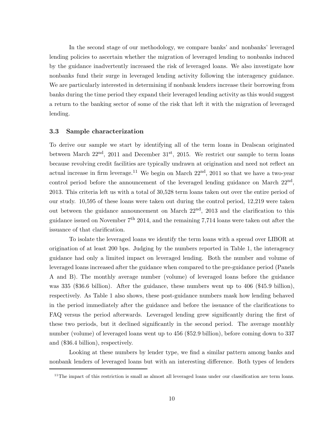In the second stage of our methodology, we compare banks' and nonbanks' leveraged lending policies to ascertain whether the migration of leveraged lending to nonbanks induced by the guidance inadvertently increased the risk of leveraged loans. We also investigate how nonbanks fund their surge in leveraged lending activity following the interagency guidance. We are particularly interested in determining if nonbank lenders increase their borrowing from banks during the time period they expand their leveraged lending activity as this would suggest a return to the banking sector of some of the risk that left it with the migration of leveraged lending.

#### **3.3 Sample characterization**

To derive our sample we start by identifying all of the term loans in Dealscan originated between March  $22<sup>nd</sup>$ ,  $2011$  and December  $31<sup>st</sup>$ ,  $2015$ . We restrict our sample to term loans because revolving credit facilities are typically undrawn at origination and need not reflect an actual increase in firm leverage.<sup>11</sup> We begin on March  $22<sup>nd</sup>$ , 2011 so that we have a two-year control period before the announcement of the leveraged lending guidance on March  $22<sup>nd</sup>$ , 2013. This criteria left us with a total of 30,528 term loans taken out over the entire period of our study. 10,595 of these loans were taken out during the control period, 12,219 were taken out between the guidance announcement on March  $22<sup>nd</sup>$ ,  $2013$  and the clarification to this guidance issued on November  $7<sup>th</sup>$  2014, and the remaining 7,714 loans were taken out after the issuance of that clarification.

To isolate the leveraged loans we identify the term loans with a spread over LIBOR at origination of at least 200 bps. Judging by the numbers reported in Table 1, the interagency guidance had only a limited impact on leveraged lending. Both the number and volume of leveraged loans increased after the guidance when compared to the pre-guidance period (Panels A and B). The monthly average number (volume) of leveraged loans before the guidance was 335 (\$36.6 billion). After the guidance, these numbers went up to 406 (\$45.9 billion), respectively. As Table 1 also shows, these post-guidance numbers mask how lending behaved in the period immediately after the guidance and before the issuance of the clarifications to FAQ versus the period afterwards. Leveraged lending grew significantly during the first of these two periods, but it declined significantly in the second period. The average monthly number (volume) of leveraged loans went up to 456 (\$52.9 billion), before coming down to 337 and (\$36.4 billion), respectively.

Looking at these numbers by lender type, we find a similar pattern among banks and nonbank lenders of leveraged loans but with an interesting difference. Both types of lenders

 $11$ The impact of this restriction is small as almost all leveraged loans under our classification are term loans.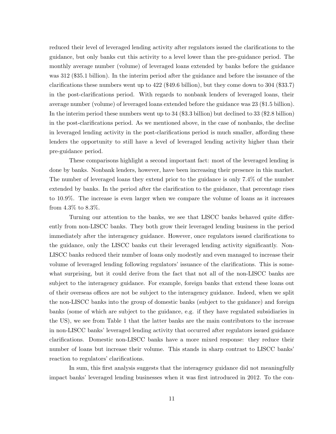reduced their level of leveraged lending activity after regulators issued the clarifications to the guidance, but only banks cut this activity to a level lower than the pre-guidance period. The monthly average number (volume) of leveraged loans extended by banks before the guidance was 312 (\$35.1 billion). In the interim period after the guidance and before the issuance of the clarifications these numbers went up to 422 (\$49.6 billion), but they come down to 304 (\$33.7) in the post-clarifications period. With regards to nonbank lenders of leveraged loans, their average number (volume) of leveraged loans extended before the guidance was 23 (\$1.5 billion). In the interim period these numbers went up to 34 (\$3.3 billion) but declined to 33 (\$2.8 billion) in the post-clarifications period. As we mentioned above, in the case of nonbanks, the decline in leveraged lending activity in the post-clarifications period is much smaller, affording these lenders the opportunity to still have a level of leveraged lending activity higher than their pre-guidance period.

These comparisons highlight a second important fact: most of the leveraged lending is done by banks. Nonbank lenders, however, have been increasing their presence in this market. The number of leveraged loans they extend prior to the guidance is only 7.4% of the number extended by banks. In the period after the clarification to the guidance, that percentage rises to 10.9%. The increase is even larger when we compare the volume of loans as it increases from 4.3% to 8.3%.

Turning our attention to the banks, we see that LISCC banks behaved quite differently from non-LISCC banks. They both grow their leveraged lending business in the period immediately after the interagency guidance. However, once regulators issued clarifications to the guidance, only the LISCC banks cut their leveraged lending activity significantly. Non-LISCC banks reduced their number of loans only modestly and even managed to increase their volume of leveraged lending following regulators' issuance of the clarifications. This is somewhat surprising, but it could derive from the fact that not all of the non-LISCC banks are subject to the interagency guidance. For example, foreign banks that extend these loans out of their overseas offices are not be subject to the interagency guidance. Indeed, when we split the non-LISCC banks into the group of domestic banks (subject to the guidance) and foreign banks (some of which are subject to the guidance, e.g. if they have regulated subsidiaries in the US), we see from Table 1 that the latter banks are the main contributors to the increase in non-LISCC banks' leveraged lending activity that occurred after regulators issued guidance clarifications. Domestic non-LISCC banks have a more mixed response: they reduce their number of loans but increase their volume. This stands in sharp contrast to LISCC banks' reaction to regulators' clarifications.

In sum, this first analysis suggests that the interagency guidance did not meaningfully impact banks' leveraged lending businesses when it was first introduced in 2012. To the con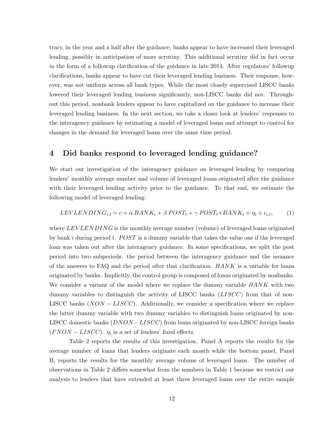trary, in the year and a half after the guidance, banks appear to have increased their leveraged lending, possibly in anticipation of more scrutiny. This additional scrutiny did in fact occur in the form of a followup clarification of the guidance in late 2014. After regulators' followup clarifications, banks appear to have cut their leveraged lending business. Their response, however, was not uniform across all bank types. While the most closely supervised LISCC banks lowered their leveraged lending business significantly, non-LISCC banks did not. Throughout this period, nonbank lenders appear to have capitalized on the guidance to increase their leveraged lending business. In the next section, we take a closer look at lenders' responses to the interagency guidance by estimating a model of leveraged loans and attempt to control for changes in the demand for leveraged loans over the same time period.

# **4 Did banks respond to leveraged lending guidance?**

We start our investigation of the interagency guidance on leveraged lending by comparing lenders' monthly average number and volume of leveraged loans originated after the guidance with their leveraged lending activity prior to the guidance. To that end, we estimate the following model of leveraged lending:

$$
LEVLEN DING_{i,t} = c + \alpha BANK_i + \beta POST_t + \gamma POST_t \times BANK_i + \eta_i + \epsilon_{i,t}, \qquad (1)
$$

where *LEVLENDING* is the monthly average number (volume) of leveraged loans originated by bank *i* during period *t*. *POST* is a dummy variable that takes the value one if the leveraged loan was taken out after the interagency guidance. In some specifications, we split the post period into two subperiods: the period between the interagency guidance and the issuance of the answers to FAQ and the period after that clarification. *BANK* is a variable for loans originated by banks. Implicitly, the control group is composed of loans originated by nonbanks. We consider a variant of the model where we replace the dummy variable *BANK* with two dummy variables to distinguish the activity of LISCC banks (*LISCC*) from that of non-LISCC banks (*NON* − *LISCC*). Additionally, we consider a specification where we replace the latter dummy variable with two dummy variables to distinguish loans originated by non-LISCC domestic banks (*DNON* −*LISCC*) from loans originated by non-LISCC foreign banks  $(FNON - LISCC)$ .  $\eta_i$  is a set of lenders' fixed effects.

Table 2 reports the results of this investigation. Panel A reports the results for the average number of loans that lenders originate each month while the bottom panel, Panel B, reports the results for the monthly average volume of leveraged loans. The number of observations in Table 2 differs somewhat from the numbers in Table 1 because we restrict our analysis to lenders that have extended at least three leveraged loans over the entire sample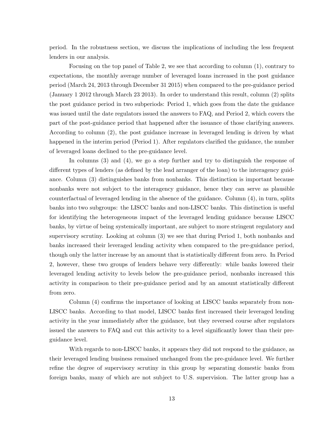period. In the robustness section, we discuss the implications of including the less frequent lenders in our analysis.

Focusing on the top panel of Table 2, we see that according to column (1), contrary to expectations, the monthly average number of leveraged loans increased in the post guidance period (March 24, 2013 through December 31 2015) when compared to the pre-guidance period (January 1 2012 through March 23 2013). In order to understand this result, column (2) splits the post guidance period in two subperiods: Period 1, which goes from the date the guidance was issued until the date regulators issued the answers to FAQ, and Period 2, which covers the part of the post-guidance period that happened after the issuance of those clarifying answers. According to column (2), the post guidance increase in leveraged lending is driven by what happened in the interim period (Period 1). After regulators clarified the guidance, the number of leveraged loans declined to the pre-guidance level.

In columns (3) and (4), we go a step further and try to distinguish the response of different types of lenders (as defined by the lead arranger of the loan) to the interagency guidance. Column (3) distinguishes banks from nonbanks. This distinction is important because nonbanks were not subject to the interagency guidance, hence they can serve as plausible counterfactual of leveraged lending in the absence of the guidance. Column (4), in turn, splits banks into two subgroups: the LISCC banks and non-LISCC banks. This distinction is useful for identifying the heterogeneous impact of the leveraged lending guidance because LISCC banks, by virtue of being systemically important, are subject to more stringent regulatory and supervisory scrutiny. Looking at column (3) we see that during Period 1, both nonbanks and banks increased their leveraged lending activity when compared to the pre-guidance period, though only the latter increase by an amount that is statistically different from zero. In Period 2, however, these two groups of lenders behave very differently: while banks lowered their leveraged lending activity to levels below the pre-guidance period, nonbanks increased this activity in comparison to their pre-guidance period and by an amount statistically different from zero.

Column (4) confirms the importance of looking at LISCC banks separately from non-LISCC banks. According to that model, LISCC banks first increased their leveraged lending activity in the year immediately after the guidance, but they reversed course after regulators issued the answers to FAQ and cut this activity to a level significantly lower than their preguidance level.

With regards to non-LISCC banks, it appears they did not respond to the guidance, as their leveraged lending business remained unchanged from the pre-guidance level. We further refine the degree of supervisory scrutiny in this group by separating domestic banks from foreign banks, many of which are not subject to U.S. supervision. The latter group has a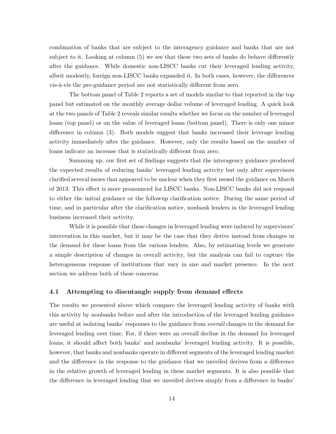combination of banks that are subject to the interagency guidance and banks that are not subject to it. Looking at column (5) we see that these two sets of banks do behave differently after the guidance. While domestic non-LISCC banks cut their leveraged lending activity, albeit modestly, foreign non-LISCC banks expanded it. In both cases, however, the differences vis- $\acute{a}$ -vis the pre-guidance period are not statistically different from zero.

The bottom panel of Table 2 reports a set of models similar to that reported in the top panel but estimated on the monthly average dollar volume of leveraged lending. A quick look at the two panels of Table 2 reveals similar results whether we focus on the number of leveraged loans (top panel) or on the value of leveraged loans (bottom panel). There is only one minor difference in column (3). Both models suggest that banks increased their leverage lending activity immediately after the guidance. However, only the results based on the number of loans indicate an increase that is statistically different from zero.

Summing up, our first set of findings suggests that the interagency guidance produced the expected results of reducing banks' leveraged lending activity but only after supervisors clarified several issues that appeared to be unclear when they first issued the guidance on March of 2013. This effect is more pronounced for LISCC banks. Non-LISCC banks did not respond to either the initial guidance or the followup clarification notice. During the same period of time, and in particular after the clarification notice, nonbank lenders in the leveraged lending business increased their activity.

While it is possible that these changes in leveraged lending were induced by supervisors' intervention in this market, but it may be the case that they derive instead from changes in the demand for these loans from the various lenders. Also, by estimating levels we generate a simple description of changes in overall activity, but the analysis can fail to capture the heterogeneous response of institutions that vary in size and market presence. In the next section we address both of these concerns.

## **4.1 Attempting to disentangle supply from demand effects**

The results we presented above which compare the leveraged lending activity of banks with this activity by nonbanks before and after the introduction of the leveraged lending guidance are useful at isolating banks' responses to the guidance from *overall* changes in the demand for leveraged lending over time. For, if there were an overall decline in the demand for leveraged loans, it should affect both banks' and nonbanks' leveraged lending activity. It is possible, however, that banks and nonbanks operate in different segments of the leveraged lending market and the difference in the response to the guidance that we unveiled derives from a difference in the relative growth of leveraged lending in these market segments. It is also possible that the difference in leveraged lending that we unveiled derives simply from a difference in banks'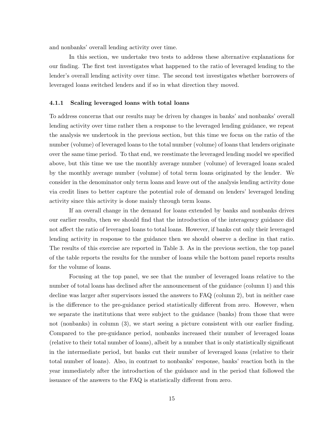and nonbanks' overall lending activity over time.

In this section, we undertake two tests to address these alternative explanations for our finding. The first test investigates what happened to the ratio of leveraged lending to the lender's overall lending activity over time. The second test investigates whether borrowers of leveraged loans switched lenders and if so in what direction they moved.

#### **4.1.1 Scaling leveraged loans with total loans**

To address concerns that our results may be driven by changes in banks' and nonbanks' overall lending activity over time rather then a response to the leveraged lending guidance, we repeat the analysis we undertook in the previous section, but this time we focus on the ratio of the number (volume) of leveraged loans to the total number (volume) of loans that lenders originate over the same time period. To that end, we reestimate the leveraged lending model we specified above, but this time we use the monthly average number (volume) of leveraged loans scaled by the monthly average number (volume) of total term loans originated by the lender. We consider in the denominator only term loans and leave out of the analysis lending activity done via credit lines to better capture the potential role of demand on lenders' leveraged lending activity since this activity is done mainly through term loans.

If an overall change in the demand for loans extended by banks and nonbanks drives our earlier results, then we should find that the introduction of the interagency guidance did not affect the ratio of leveraged loans to total loans. However, if banks cut only their leveraged lending activity in response to the guidance then we should observe a decline in that ratio. The results of this exercise are reported in Table 3. As in the previous section, the top panel of the table reports the results for the number of loans while the bottom panel reports results for the volume of loans.

Focusing at the top panel, we see that the number of leveraged loans relative to the number of total loans has declined after the announcement of the guidance (column 1) and this decline was larger after supervisors issued the answers to FAQ (column 2), but in neither case is the difference to the pre-guidance period statistically different from zero. However, when we separate the institutions that were subject to the guidance (banks) from those that were not (nonbanks) in column (3), we start seeing a picture consistent with our earlier finding. Compared to the pre-guidance period, nonbanks increased their number of leveraged loans (relative to their total number of loans), albeit by a number that is only statistically significant in the intermediate period, but banks cut their number of leveraged loans (relative to their total number of loans). Also, in contrast to nonbanks' response, banks' reaction both in the year immediately after the introduction of the guidance and in the period that followed the issuance of the answers to the FAQ is statistically different from zero.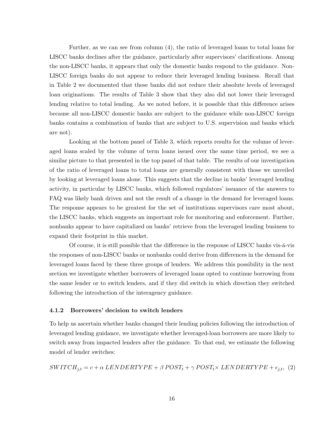Further, as we can see from column (4), the ratio of leveraged loans to total loans for LISCC banks declines after the guidance, particularly after supervisors' clarifications. Among the non-LISCC banks, it appears that only the domestic banks respond to the guidance. Non-LISCC foreign banks do not appear to reduce their leveraged lending business. Recall that in Table 2 we documented that these banks did not reduce their absolute levels of leveraged loan originations. The results of Table 3 show that they also did not lower their leveraged lending relative to total lending. As we noted before, it is possible that this difference arises because all non-LISCC domestic banks are subject to the guidance while non-LISCC foreign banks contains a combination of banks that are subject to U.S. supervision and banks which are not).

Looking at the bottom panel of Table 3, which reports results for the volume of leveraged loans scaled by the volume of term loans issued over the same time period, we see a similar picture to that presented in the top panel of that table. The results of our investigation of the ratio of leveraged loans to total loans are generally consistent with those we unveiled by looking at leveraged loans alone. This suggests that the decline in banks' leveraged lending activity, in particular by LISCC banks, which followed regulators' issuance of the answers to FAQ was likely bank driven and not the result of a change in the demand for leveraged loans. The response appears to be greatest for the set of institutions supervisors care most about, the LISCC banks, which suggests an important role for monitoring and enforcement. Further, nonbanks appear to have capitalized on banks' retrieve from the leveraged lending business to expand their footprint in this market.

Of course, it is still possible that the difference in the response of LISCC banks vis- $\acute{a}$ -vis the responses of non-LISCC banks or nonbanks could derive from differences in the demand for leveraged loans faced by these three groups of lenders. We address this possibility in the next section we investigate whether borrowers of leveraged loans opted to continue borrowing from the same lender or to switch lenders, and if they did switch in which direction they switched following the introduction of the interagency guidance.

## **4.1.2 Borrowers' decision to switch lenders**

To help us ascertain whether banks changed their lending policies following the introduction of leveraged lending guidance, we investigate whether leveraged-loan borrowers are more likely to switch away from impacted lenders after the guidance. To that end, we estimate the following model of lender switches:

$$
SWITCH_{j,t} = c + \alpha LENDERTYPE + \beta POST_t + \gamma POST_t \times LENDERTYPE + \epsilon_{j,t},
$$
 (2)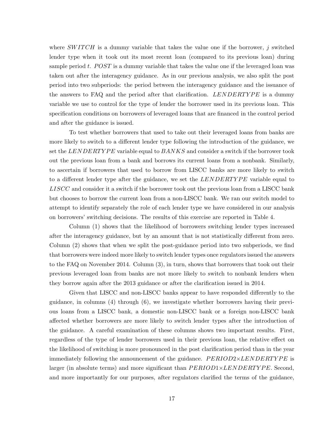where *SWITCH* is a dummy variable that takes the value one if the borrower, *j* switched lender type when it took out its most recent loan (compared to its previous loan) during sample period *t*. *POST* is a dummy variable that takes the value one if the leveraged loan was taken out after the interagency guidance. As in our previous analysis, we also split the post period into two subperiods: the period between the interagency guidance and the issuance of the answers to FAQ and the period after that clarification. *LENDERTYPE* is a dummy variable we use to control for the type of lender the borrower used in its previous loan. This specification conditions on borrowers of leveraged loans that are financed in the control period and after the guidance is issued.

To test whether borrowers that used to take out their leveraged loans from banks are more likely to switch to a different lender type following the introduction of the guidance, we set the *LENDERTYPE* variable equal to *BANKS* and consider a switch if the borrower took out the previous loan from a bank and borrows its current loans from a nonbank. Similarly, to ascertain if borrowers that used to borrow from LISCC banks are more likely to switch to a different lender type after the guidance, we set the *LENDERTYPE* variable equal to *LISCC* and consider it a switch if the borrower took out the previous loan from a LISCC bank but chooses to borrow the current loan from a non-LISCC bank. We ran our switch model to attempt to identify separately the role of each lender type we have considered in our analysis on borrowers' switching decisions. The results of this exercise are reported in Table 4.

Column (1) shows that the likelihood of borrowers switching lender types increased after the interagency guidance, but by an amount that is not statistically different from zero. Column (2) shows that when we split the post-guidance period into two subperiods, we find that borrowers were indeed more likely to switch lender types once regulators issued the answers to the FAQ on November 2014. Column (3), in turn, shows that borrowers that took out their previous leveraged loan from banks are not more likely to switch to nonbank lenders when they borrow again after the 2013 guidance or after the clarification issued in 2014.

Given that LISCC and non-LISCC banks appear to have responded differently to the guidance, in columns (4) through (6), we investigate whether borrowers having their previous loans from a LISCC bank, a domestic non-LISCC bank or a foreign non-LISCC bank affected whether borrowers are more likely to switch lender types after the introduction of the guidance. A careful examination of these columns shows two important results. First, regardless of the type of lender borrowers used in their previous loan, the relative effect on the likelihood of switching is more pronounced in the post clarification period than in the year immediately following the announcement of the guidance. *PERIOD2×LENDERTYPE* is larger (in absolute terms) and more significant than  $PERIOD1 \times LENGTHPE$ . Second, and more importantly for our purposes, after regulators clarified the terms of the guidance,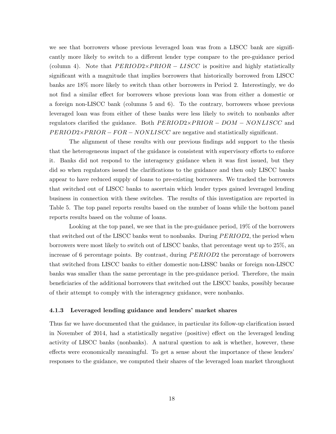we see that borrowers whose previous leveraged loan was from a LISCC bank are significantly more likely to switch to a different lender type compare to the pre-guidance period (column 4). Note that  $PERIOD2\times PRIOR - LISCC$  is positive and highly statistically significant with a magnitude that implies borrowers that historically borrowed from LISCC banks are 18% more likely to switch than other borrowers in Period 2. Interestingly, we do not find a similar effect for borrowers whose previous loan was from either a domestic or a foreign non-LISCC bank (columns 5 and 6). To the contrary, borrowers whose previous leveraged loan was from either of these banks were less likely to switch to nonbanks after regulators clarified the guidance. Both *P ERIOD*2×*P RIOR* − *DOM* − *NONLISCC* and *PERIOD2×PRIOR* − *FOR* − *NONLISCC* are negative and statistically significant.

The alignment of these results with our previous findings add support to the thesis that the heterogeneous impact of the guidance is consistent with supervisory efforts to enforce it. Banks did not respond to the interagency guidance when it was first issued, but they did so when regulators issued the clarifications to the guidance and then only LISCC banks appear to have reduced supply of loans to pre-existing borrowers. We tracked the borrowers that switched out of LISCC banks to ascertain which lender types gained leveraged lending business in connection with these switches. The results of this investigation are reported in Table 5. The top panel reports results based on the number of loans while the bottom panel reports results based on the volume of loans.

Looking at the top panel, we see that in the pre-guidance period, 19% of the borrowers that switched out of the LISCC banks went to nonbanks. During *P ERIOD*2*,* the period when borrowers were most likely to switch out of LISCC banks, that percentage went up to 25%, an increase of 6 percentage points. By contrast, during *P ERIOD*2 the percentage of borrowers that switched from LISCC banks to either domestic non-LISSC banks or foreign non-LISCC banks was smaller than the same percentage in the pre-guidance period. Therefore, the main beneficiaries of the additional borrowers that switched out the LISCC banks, possibly because of their attempt to comply with the interagency guidance, were nonbanks.

#### **4.1.3 Leveraged lending guidance and lenders' market shares**

Thus far we have documented that the guidance, in particular its follow-up clarification issued in November of 2014, had a statistically negative (positive) effect on the leveraged lending activity of LISCC banks (nonbanks). A natural question to ask is whether, however, these effects were economically meaningful. To get a sense about the importance of these lenders' responses to the guidance, we computed their shares of the leveraged loan market throughout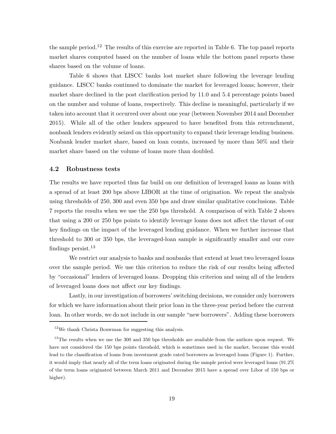the sample period.<sup>12</sup> The results of this exercise are reported in Table 6. The top panel reports market shares computed based on the number of loans while the bottom panel reports these shares based on the volume of loans.

Table 6 shows that LISCC banks lost market share following the leverage lending guidance. LISCC banks continued to dominate the market for leveraged loans; however, their market share declined in the post clarification period by 11.0 and 5.4 percentage points based on the number and volume of loans, respectively. This decline is meaningful, particularly if we taken into account that it occurred over about one year (between November 2014 and December 2015). While all of the other lenders appeared to have benefited from this retrenchment, nonbank lenders evidently seized on this opportunity to expand their leverage lending business. Nonbank lender market share, based on loan counts, increased by more than 50% and their market share based on the volume of loans more than doubled.

#### **4.2 Robustness tests**

The results we have reported thus far build on our definition of leveraged loans as loans with a spread of at least 200 bps above LIBOR at the time of origination. We repeat the analysis using thresholds of 250, 300 and even 350 bps and draw similar qualitative conclusions. Table 7 reports the results when we use the 250 bps threshold. A comparison of with Table 2 shows that using a 200 or 250 bps points to identify leverage loans does not affect the thrust of our key findings on the impact of the leveraged lending guidance. When we further increase that threshold to 300 or 350 bps, the leveraged-loan sample is significantly smaller and our core findings persist. $^{13}$ 

We restrict our analysis to banks and nonbanks that extend at least two leveraged loans over the sample period. We use this criterion to reduce the risk of our results being affected by "occasional" lenders of leveraged loans. Dropping this criterion and using all of the lenders of leveraged loans does not affect our key findings.

Lastly, in our investigation of borrowers' switching decisions, we consider only borrowers for which we have information about their prior loan in the three-year period before the current loan. In other words, we do not include in our sample "new borrowers". Adding these borrowers

<sup>12</sup>We thank Christa Bouwman for suggesting this analysis.

<sup>&</sup>lt;sup>13</sup>The results when we use the 300 and 350 bps thresholds are available from the authors upon request. We have not considered the 150 bps points threshold, which is sometimes used in the market, because this would lead to the classification of loans from investment grade rated borrowers as leveraged loans (Figure 1). Further, it would imply that nearly all of the term loans originated during the sample period were leveraged loans (91.2% of the term loans originated between March 2011 and December 2015 have a spread over Libor of 150 bps or higher).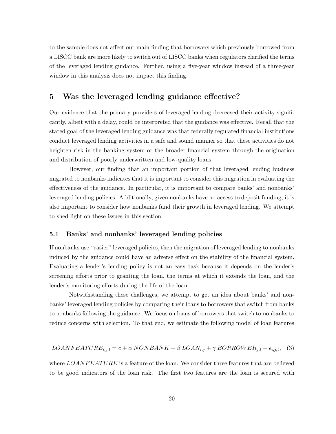to the sample does not affect our main finding that borrowers which previously borrowed from a LISCC bank are more likely to switch out of LISCC banks when regulators clarified the terms of the leveraged lending guidance. Further, using a five-year window instead of a three-year window in this analysis does not impact this finding.

# **5 Was the leveraged lending guidance effective?**

Our evidence that the primary providers of leveraged lending decreased their activity significantly, albeit with a delay, could be interpreted that the guidance was effective. Recall that the stated goal of the leveraged lending guidance was that federally regulated financial institutions conduct leveraged lending activities in a safe and sound manner so that these activities do not heighten risk in the banking system or the broader financial system through the origination and distribution of poorly underwritten and low-quality loans.

However, our finding that an important portion of that leveraged lending business migrated to nonbanks indicates that it is important to consider this migration in evaluating the effectiveness of the guidance. In particular, it is important to compare banks' and nonbanks' leveraged lending policies. Additionally, given nonbanks have no access to deposit funding, it is also important to consider how nonbanks fund their growth in leveraged lending. We attempt to shed light on these issues in this section.

### **5.1 Banks' and nonbanks' leveraged lending policies**

If nonbanks use "easier" leveraged policies, then the migration of leveraged lending to nonbanks induced by the guidance could have an adverse effect on the stability of the financial system. Evaluating a lender's lending policy is not an easy task because it depends on the lender's screening efforts prior to granting the loan, the terms at which it extends the loan, and the lender's monitoring efforts during the life of the loan.

Notwithstanding these challenges, we attempt to get an idea about banks' and nonbanks' leveraged lending policies by comparing their loans to borrowers that switch from banks to nonbanks following the guidance. We focus on loans of borrowers that switch to nonbanks to reduce concerns with selection. To that end, we estimate the following model of loan features

$$
LOANFEATURE_{i,j,t} = c + \alpha NONBANK + \beta LOAN_{i,j} + \gamma BORROWER_{j,t} + \epsilon_{i,j,t},
$$
 (3)

where *LOANFEATURE* is a feature of the loan. We consider three features that are believed to be good indicators of the loan risk. The first two features are the loan is secured with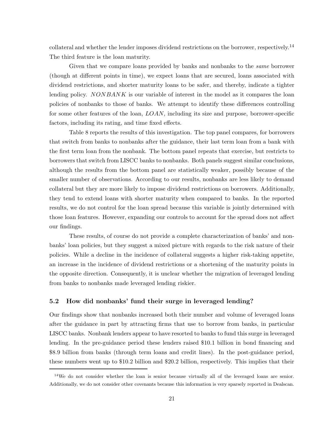collateral and whether the lender imposes dividend restrictions on the borrower, respectively.<sup>14</sup> The third feature is the loan maturity.

Given that we compare loans provided by banks and nonbanks to the *same* borrower (though at different points in time), we expect loans that are secured, loans associated with dividend restrictions, and shorter maturity loans to be safer, and thereby, indicate a tighter lending policy. *NONBANK* is our variable of interest in the model as it compares the loan policies of nonbanks to those of banks. We attempt to identify these differences controlling for some other features of the loan, *LOAN,* including its size and purpose, borrower-specific factors, including its rating, and time fixed effects.

Table 8 reports the results of this investigation. The top panel compares, for borrowers that switch from banks to nonbanks after the guidance, their last term loan from a bank with the first term loan from the nonbank. The bottom panel repeats that exercise, but restricts to borrowers that switch from LISCC banks to nonbanks. Both panels suggest similar conclusions, although the results from the bottom panel are statistically weaker, possibly because of the smaller number of observations. According to our results, nonbanks are less likely to demand collateral but they are more likely to impose dividend restrictions on borrowers. Additionally, they tend to extend loans with shorter maturity when compared to banks. In the reported results, we do not control for the loan spread because this variable is jointly determined with those loan features. However, expanding our controls to account for the spread does not affect our findings.

These results, of course do not provide a complete characterization of banks' and nonbanks' loan policies, but they suggest a mixed picture with regards to the risk nature of their policies. While a decline in the incidence of collateral suggests a higher risk-taking appetite, an increase in the incidence of dividend restrictions or a shortening of the maturity points in the opposite direction. Consequently, it is unclear whether the migration of leveraged lending from banks to nonbanks made leveraged lending riskier.

## **5.2 How did nonbanks' fund their surge in leveraged lending?**

Our findings show that nonbanks increased both their number and volume of leveraged loans after the guidance in part by attracting firms that use to borrow from banks, in particular LISCC banks. Nonbank lenders appear to have resorted to banks to fund this surge in leveraged lending. In the pre-guidance period these lenders raised \$10.1 billion in bond financing and \$8.9 billion from banks (through term loans and credit lines). In the post-guidance period, these numbers went up to \$10.2 billion and \$20.2 billion, respectively. This implies that their

 $14\text{We do not consider whether the loan is senior because virtually all of the leveraged loans are senior.}$ Additionally, we do not consider other covenants because this information is very sparsely reported in Dealscan.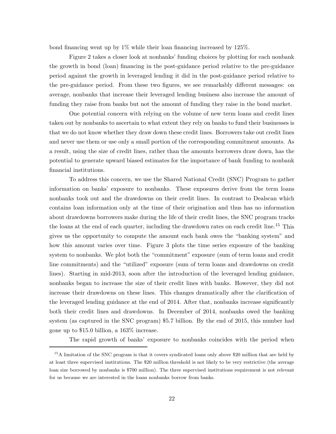bond financing went up by 1% while their loan financing increased by 125%.

Figure 2 takes a closer look at nonbanks' funding choices by plotting for each nonbank the growth in bond (loan) financing in the post-guidance period relative to the pre-guidance period against the growth in leveraged lending it did in the post-guidance period relative to the pre-guidance period. From these two figures, we see remarkably different messages: on average, nonbanks that increase their leveraged lending business also increase the amount of funding they raise from banks but not the amount of funding they raise in the bond market.

One potential concern with relying on the volume of new term loans and credit lines taken out by nonbanks to ascertain to what extent they rely on banks to fund their businesses is that we do not know whether they draw down these credit lines. Borrowers take out credit lines and never use them or use only a small portion of the corresponding commitment amounts. As a result, using the size of credit lines, rather than the amounts borrowers draw down, has the potential to generate upward biased estimates for the importance of bank funding to nonbank financial institutions.

To address this concern, we use the Shared National Credit (SNC) Program to gather information on banks' exposure to nonbanks. These exposures derive from the term loans nonbanks took out and the drawdowns on their credit lines. In contrast to Dealscan which contains loan information only at the time of their origination and thus has no information about drawdowns borrowers make during the life of their credit lines, the SNC program tracks the loans at the end of each quarter, including the drawdown rates on each credit line.<sup>15</sup> This gives us the opportunity to compute the amount each bank owes the "banking system" and how this amount varies over time. Figure 3 plots the time series exposure of the banking system to nonbanks. We plot both the "commitment" exposure (sum of term loans and credit line commitments) and the "utilized" exposure (sum of term loans and drawdowns on credit lines). Starting in mid-2013, soon after the introduction of the leveraged lending guidance, nonbanks began to increase the size of their credit lines with banks. However, they did not increase their drawdowns on these lines. This changes dramatically after the clarification of the leveraged lending guidance at the end of 2014. After that, nonbanks increase significantly both their credit lines and drawdowns. In December of 2014, nonbanks owed the banking system (as captured in the SNC program) \$5.7 billion. By the end of 2015, this number had gone up to \$15.0 billion, a 163% increase.

The rapid growth of banks' exposure to nonbanks coincides with the period when

<sup>15</sup>A limitation of the SNC program is that it covers syndicated loans only above \$20 million that are held by at least three supervised institutions. The \$20 million threshold is not likely to be very restrictive (the average loan size borrowed by nonbanks is \$700 million). The three supervised institutions requirement is not relevant for us because we are interested in the loans nonbanks borrow from banks.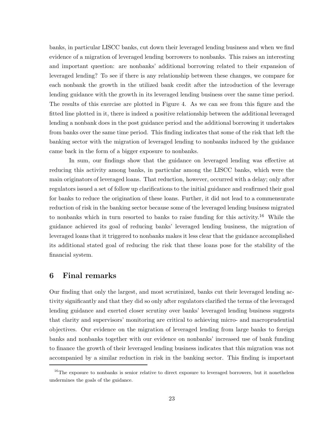banks, in particular LISCC banks, cut down their leveraged lending business and when we find evidence of a migration of leveraged lending borrowers to nonbanks. This raises an interesting and important question: are nonbanks' additional borrowing related to their expansion of leveraged lending? To see if there is any relationship between these changes, we compare for each nonbank the growth in the utilized bank credit after the introduction of the leverage lending guidance with the growth in its leveraged lending business over the same time period. The results of this exercise are plotted in Figure 4. As we can see from this figure and the fitted line plotted in it, there is indeed a positive relationship between the additional leveraged lending a nonbank does in the post guidance period and the additional borrowing it undertakes from banks over the same time period. This finding indicates that some of the risk that left the banking sector with the migration of leveraged lending to nonbanks induced by the guidance came back in the form of a bigger exposure to nonbanks.

In sum, our findings show that the guidance on leveraged lending was effective at reducing this activity among banks, in particular among the LISCC banks, which were the main originators of leveraged loans. That reduction, however, occurred with a delay; only after regulators issued a set of follow up clarifications to the initial guidance and reafirmed their goal for banks to reduce the origination of these loans. Further, it did not lead to a commensurate reduction of risk in the banking sector because some of the leveraged lending business migrated to nonbanks which in turn resorted to banks to raise funding for this activity.<sup>16</sup> While the guidance achieved its goal of reducing banks' leveraged lending business, the migration of leveraged loans that it triggered to nonbanks makes it less clear that the guidance accomplished its additional stated goal of reducing the risk that these loans pose for the stability of the financial system.

# **6 Final remarks**

Our finding that only the largest, and most scrutinized, banks cut their leveraged lending activity significantly and that they did so only after regulators clarified the terms of the leveraged lending guidance and exerted closer scrutiny over banks' leveraged lending business suggests that clarity and supervisors' monitoring are critical to achieving micro- and macroprudential objectives. Our evidence on the migration of leveraged lending from large banks to foreign banks and nonbanks together with our evidence on nonbanks' increased use of bank funding to finance the growth of their leveraged lending business indicates that this migration was not accompanied by a similar reduction in risk in the banking sector. This finding is important

<sup>&</sup>lt;sup>16</sup>The exposure to nonbanks is senior relative to direct exposure to leveraged borrowers, but it nonetheless undermines the goals of the guidance.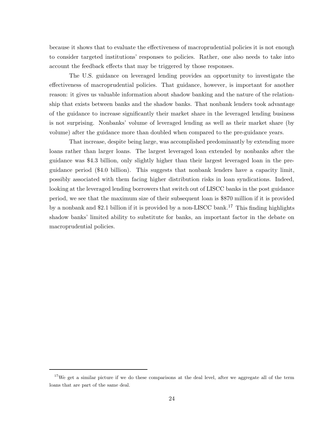because it shows that to evaluate the effectiveness of macroprudential policies it is not enough to consider targeted institutions' responses to policies. Rather, one also needs to take into account the feedback effects that may be triggered by those responses.

The U.S. guidance on leveraged lending provides an opportunity to investigate the effectiveness of macroprudential policies. That guidance, however, is important for another reason: it gives us valuable information about shadow banking and the nature of the relationship that exists between banks and the shadow banks. That nonbank lenders took advantage of the guidance to increase significantly their market share in the leveraged lending business is not surprising. Nonbanks' volume of leveraged lending as well as their market share (by volume) after the guidance more than doubled when compared to the pre-guidance years.

That increase, despite being large, was accomplished predominantly by extending more loans rather than larger loans. The largest leveraged loan extended by nonbanks after the guidance was \$4.3 billion, only slightly higher than their largest leveraged loan in the preguidance period (\$4.0 billion). This suggests that nonbank lenders have a capacity limit, possibly associated with them facing higher distribution risks in loan syndications. Indeed, looking at the leveraged lending borrowers that switch out of LISCC banks in the post guidance period, we see that the maximum size of their subsequent loan is \$870 million if it is provided by a nonbank and \$2.1 billion if it is provided by a non-LISCC bank.<sup>17</sup> This finding highlights shadow banks' limited ability to substitute for banks, an important factor in the debate on macroprudential policies.

<sup>&</sup>lt;sup>17</sup>We get a similar picture if we do these comparisons at the deal level, after we aggregate all of the term loans that are part of the same deal.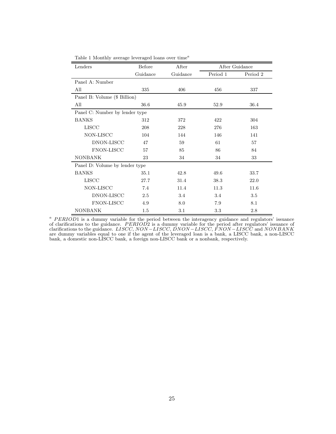| Lenders                        | Before   | After    | After Guidance |          |  |  |
|--------------------------------|----------|----------|----------------|----------|--|--|
|                                | Guidance | Guidance | Period 1       | Period 2 |  |  |
| Panel A: Number                |          |          |                |          |  |  |
| All                            | 335      | 406      | 456            | 337      |  |  |
| Panel B: Volume (\$ Billion)   |          |          |                |          |  |  |
| All                            | 36.6     | 45.9     | 52.9           | 36.4     |  |  |
| Panel C: Number by lender type |          |          |                |          |  |  |
| <b>BANKS</b>                   | 312      | 372      | 422            | 304      |  |  |
| <b>LISCC</b>                   | 208      | 228      | 276            | 163      |  |  |
| NON-LISCC                      | 104      | 144      | 146            | 141      |  |  |
| DNON-LISCC                     | 47       | 59       | 61             | 57       |  |  |
| <b>FNON-LISCC</b>              | 57       | 85       | 86             | 84       |  |  |
| <b>NONBANK</b>                 | 23       | 34       | 34             | 33       |  |  |
| Panel D: Volume by lender type |          |          |                |          |  |  |
| <b>BANKS</b>                   | 35.1     | 42.8     | 49.6           | 33.7     |  |  |
| <b>LISCC</b>                   | 27.7     | 31.4     | 38.3           | 22.0     |  |  |
| NON-LISCC                      | 7.4      | 11.4     | 11.3           | 11.6     |  |  |
| DNON-LISCC                     | 2.5      | 3.4      | 3.4            | 3.5      |  |  |
| <b>FNON-LISCC</b>              | 4.9      | 8.0      | 7.9            | 8.1      |  |  |
| <b>NONBANK</b>                 | 1.5      | 3.1      | 3.3            | 2.8      |  |  |

Table 1 Monthly average leveraged loans over time<sup> $a$ </sup>

<sup>a</sup> PERIOD1 is a dummy variable for the period between the interagency guidance and regulators' issuance of clarifications to the guidance. *P ERIOD*2 is a dummy variable for the period after regulators' issuance of clarifications to the guidance. *LISCC, NON* −*LISCC, DNON* −*LISCC, FNON* −*LISCC* and *NONBANK* are dummy variables equal to one if the agent of the leveraged loan is a bank, a LISCC bank, a non-LISCC bank, a domestic non-LISCC bank, a foreign non-LISCC bank or a nonbank, respectively.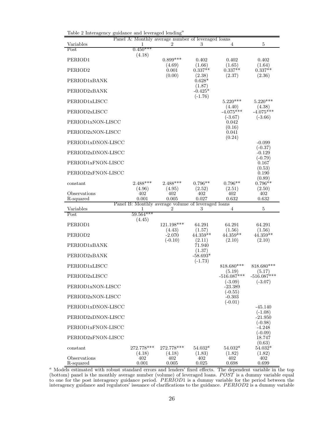| Variables                 |                                                    | Panel A: Monthly average number of leveraged loans<br>2 | 3                                | $\overline{4}$           | 5                           |
|---------------------------|----------------------------------------------------|---------------------------------------------------------|----------------------------------|--------------------------|-----------------------------|
| Post                      | $0.450***$<br>(4.18)                               |                                                         |                                  |                          |                             |
| PERIOD1                   |                                                    | $0.899***$                                              | 0.402                            | 0.402                    | 0.402                       |
| PERIOD <sub>2</sub>       |                                                    | (4.69)<br>0.001                                         | (1.66)<br>$0.337**$              | (1.65)<br>$0.337**$      | (1.64)<br>$0.337**$         |
| PERIOD1xBANK              |                                                    | (0.00)                                                  | (2.38)<br>$0.628*$               | (2.37)                   | (2.36)                      |
| PERIOD2xBANK              |                                                    |                                                         | (1.87)<br>$-0.425*$<br>$(-1.76)$ |                          |                             |
| PERIOD1xLISCC             |                                                    |                                                         |                                  | $5.220***$<br>(4.40)     | $5.220***$<br>(4.38)        |
| PERIOD2xLISCC             |                                                    |                                                         |                                  | $-4.075***$<br>$(-3.67)$ | $-4.075***$<br>$(-3.66)$    |
| PERIOD1xNON-LISCC         |                                                    |                                                         |                                  | 0.042<br>(0.16)          |                             |
| PERIOD2xNON-LISCC         |                                                    |                                                         |                                  | 0.041<br>(0.24)          |                             |
| PERIOD1xDNON-LISCC        |                                                    |                                                         |                                  |                          | $-0.099$<br>$(-0.37)$       |
| PERIOD2xDNON-LISCC        |                                                    |                                                         |                                  |                          | $-0.129$<br>$(-0.79)$       |
| PERIOD1xFNON-LISCC        |                                                    |                                                         |                                  |                          | 0.167<br>(0.53)             |
| PERIOD2xFNON-LISCC        |                                                    |                                                         |                                  |                          | 0.190<br>(0.89)             |
| constant                  | $2.488***$<br>(4.96)                               | $2.488***$<br>(4.95)                                    | $0.796**$<br>(2.52)              | $0.796**$<br>(2.51)      | $0.796**$<br>(2.50)         |
| Observations<br>R-squared | 402<br>0.001                                       | 402<br>0.005                                            | 402<br>0.027                     | 402<br>0.632             | 402<br>0.632                |
|                           | Panel B: Monthly average volume of leveraged loans |                                                         |                                  |                          |                             |
|                           |                                                    |                                                         |                                  |                          |                             |
| Variables<br>Post         | 1<br>$59.564***$                                   | 2                                                       | 3                                | 4                        | 5                           |
| PERIOD1                   | (4.45)                                             | 121.198***                                              | 64.291                           | 64.291                   | 64.291                      |
| PERIOD <sub>2</sub>       |                                                    | (4.43)<br>$-2.070$                                      | (1.57)<br>$44.359**$             | (1.56)<br>$44.359**$     | (1.56)<br>$44.359**$        |
| PERIOD1xBANK              |                                                    | $(-0.10)$                                               | (2.11)<br>71.940                 | (2.10)                   | (2.10)                      |
| PERIOD2xBANK              |                                                    |                                                         | (1.37)<br>$-58.693*$             |                          |                             |
| PERIOD1xLISCC             |                                                    |                                                         | $(-1.73)$                        | 818.680***               | 818.680***                  |
| PERIOD2xLISCC             |                                                    |                                                         |                                  | (5.19)<br>$-516.087***$  | (5.17)<br>$-516.087***$     |
| PERIOD1xNON-LISCC         |                                                    |                                                         |                                  | $(-3.09)$<br>$-23.389$   | $(-3.07)$                   |
| PERIOD2xNON-LISCC         |                                                    |                                                         |                                  | $(-0.55)$<br>$-0.303$    |                             |
| PERIOD1xDNON-LISCC        |                                                    |                                                         |                                  | $(-0.01)$                | $-45.140$                   |
| PERIOD2xDNON-LISCC        |                                                    |                                                         |                                  |                          | $(-1.08)$<br>$-21.950$      |
| PERIOD1xFNON-LISCC        |                                                    |                                                         |                                  |                          | $(-0.98)$<br>$-4.248$       |
| PERIOD2xFNON-LISCC        |                                                    |                                                         |                                  |                          | $(-0.09)$<br>18.747         |
| constant                  | 272.778***<br>(4.18)                               | 272.778***<br>(4.18)                                    | $54.032*$<br>(1.83)              | $54.032*$<br>(1.82)      | (0.63)<br>54.032*<br>(1.82) |

Table 2 Interagency guidance and leveraged lending<sup>a</sup>

<sup>a</sup> Models estimated with robust standard errors and lenders' fixed effects. The dependent variable in the top (bottom) panel is the monthly average number (volume) of leveraged loans. *POST* is a dummy variable equal to one for the post interagency guidance period. *P ERIOD*1 is a dummy variable for the period between the interagency guidance and regulators' issuance of clarifications to the guidance. *P ERIOD*2 is a dummy variable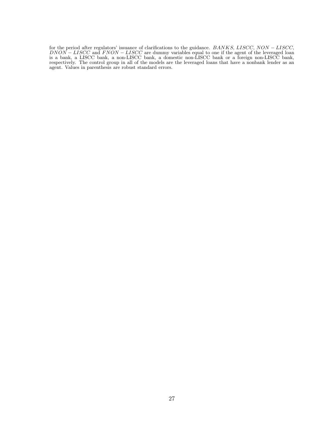for the period after regulators' issuance of clarifications to the guidance. *BANKS, LISCC, NON* − *LISCC, DNON* − *LISCC* and *FNON* − *LISCC* are dummy variables equal to one if the agent of the leveraged loan is a bank, a LISCC bank, a non-LISCC bank, a domestic non-LISCC bank or a foreign non-LISCC bank, respectively. The control group in all of the models are the leveraged loans that have a nonbank lender as an agent. Values in parenthesis are robust standard errors.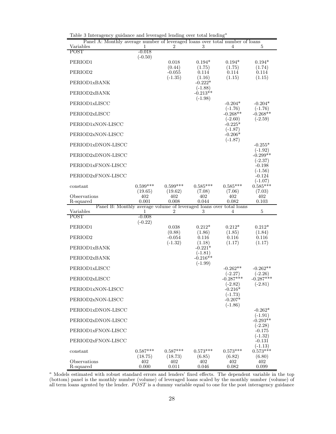| rasie o mienagency ganaanee and novenaged rending over votal rending<br>Panel A: Monthly average number of leveraged loans over total number of loans |                       |                       |                         |                                      |                                      |
|-------------------------------------------------------------------------------------------------------------------------------------------------------|-----------------------|-----------------------|-------------------------|--------------------------------------|--------------------------------------|
| Variables<br><b>POST</b>                                                                                                                              | 1<br>$-0.018$         | 2                     | 3                       | 4                                    | 5                                    |
| PERIOD1                                                                                                                                               | $(-0.50)$             | 0.018                 | $0.194*$                | $0.194*$                             | $0.194*$                             |
| PERIOD <sub>2</sub>                                                                                                                                   |                       | (0.44)<br>$-0.055$    | (1.75)<br>0.114         | (1.75)<br>0.114                      | (1.74)<br>0.114                      |
| PERIOD1xBANK                                                                                                                                          |                       | $(-1.35)$             | (1.16)<br>$-0.222*$     | (1.15)                               | (1.15)                               |
| PERIOD2xBANK                                                                                                                                          |                       |                       | $(-1.88)$<br>$-0.213**$ |                                      |                                      |
| PERIOD1xLISCC                                                                                                                                         |                       |                       | $(-1.98)$               | $-0.204*$                            | $-0.204*$                            |
| PERIOD2xLISCC                                                                                                                                         |                       |                       |                         | $(-1.76)$<br>$-0.268**$<br>$(-2.60)$ | $(-1.76)$<br>$-0.268**$<br>$(-2.59)$ |
| PERIOD1xNON-LISCC                                                                                                                                     |                       |                       |                         | $-0.225*$<br>$(-1.87)$               |                                      |
| PERIOD2xNON-LISCC                                                                                                                                     |                       |                       |                         | $-0.206*$<br>$(-1.87)$               |                                      |
| PERIOD1xDNON-LISCC                                                                                                                                    |                       |                       |                         |                                      | $-0.255*$<br>$(-1.92)$               |
| PERIOD2xDNON-LISCC                                                                                                                                    |                       |                       |                         |                                      | $-0.299**$<br>$(-2.37)$              |
| PERIOD1xFNON-LISCC                                                                                                                                    |                       |                       |                         |                                      | $-0.198$<br>$(-1.56)$                |
| PERIOD2xFNON-LISCC                                                                                                                                    |                       |                       |                         |                                      | $-0.124$<br>$(-1.07)$                |
| constant                                                                                                                                              | $0.599***$<br>(19.65) | $0.599***$<br>(19.62) | $0.585***$<br>(7.08)    | $0.585***$<br>(7.06)                 | $0.585***$<br>(7.03)                 |
| Observations<br>R-squared                                                                                                                             | 402<br>0.001          | 402<br>0.008          | 402<br>0.044            | 402<br>0.082                         | 402<br>0.103                         |
| Panel B: Monthly average volume of leveraged loans over total loans                                                                                   |                       |                       |                         |                                      |                                      |
|                                                                                                                                                       |                       | 2                     |                         | 4                                    |                                      |
| Variables<br>POST                                                                                                                                     | 1<br>$-0.008$         |                       | 3                       |                                      | $\overline{5}$                       |
| PERIOD1                                                                                                                                               | $(-0.22)$             | 0.038                 | $0.212*$                | $0.212*$                             | $0.212*$                             |
| PERIOD <sub>2</sub>                                                                                                                                   |                       | (0.88)<br>$-0.054$    | (1.86)<br>0.116         | (1.85)<br>0.116                      | (1.84)<br>0.116                      |
| PERIOD1xBANK                                                                                                                                          |                       | $(-1.32)$             | (1.18)<br>$-0.221*$     | (1.17)                               | (1.17)                               |
| PERIOD2xBANK                                                                                                                                          |                       |                       | $(-1.81)$<br>$-0.216**$ |                                      |                                      |
| PERIOD1xLISCC                                                                                                                                         |                       |                       | $(-1.99)$               | $-0.262**$                           | $-0.262**$                           |
| PERIOD2xLISCC                                                                                                                                         |                       |                       |                         | $(-2.27)$<br>$-0.287***$             | $(-2.26)$<br>$-0.287***$             |
| PERIOD1xNON-LISCC                                                                                                                                     |                       |                       |                         | $(-2.82)$<br>$-0.216*$               | $(-2.81)$                            |
| PERIOD2xNON-LISCC                                                                                                                                     |                       |                       |                         | $(-1.73)$<br>$-0.207*$               |                                      |
| PERIOD1xDNON-LISCC                                                                                                                                    |                       |                       |                         | $(-1.86)$                            | $-0.262*$<br>$(-1.91)$               |
| PERIOD2xDNON-LISCC                                                                                                                                    |                       |                       |                         |                                      | $-0.293**$                           |
| PERIOD1xFNON-LISCC                                                                                                                                    |                       |                       |                         |                                      | $(-2.28)$<br>$-0.175$<br>$(-1.32)$   |
| PERIOD2xFNON-LISCC                                                                                                                                    |                       |                       |                         |                                      | $-0.131$                             |
| constant                                                                                                                                              | $0.587***$<br>(18.75) | $0.587***$<br>(18.73) | $0.573***$<br>(6.85)    | $0.573***$<br>(6.82)                 | $(-1.13)$<br>$0.573***$<br>(6.80)    |

Table 3 Interagency guidance and leveraged lending over total lending<br>  $\!a$ 

<sup>a</sup> Models estimated with robust standard errors and lenders' fixed effects. The dependent variable in the top (bottom) panel is the monthly number (volume) of leveraged loans scaled by the monthly number (volume) of all term loans agented by the lender. *POST* is a dummy variable equal to one for the post interagency guidance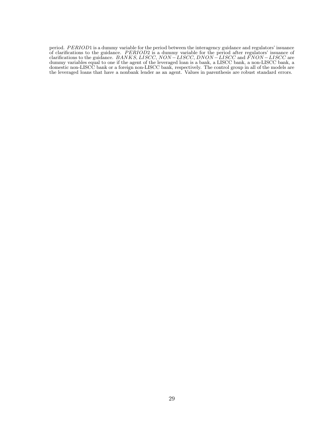period. *P ERIOD*1 is a dummy variable for the period between the interagency guidance and regulators' issuance of clarifications to the guidance. *P ERIOD*2 is a dummy variable for the period after regulators' issuance of clarifications to the guidance. *BANKS, LISCC, NON* −*LISCC, DNON* −*LISCC* and *FNON* −*LISCC* are dummy variables equal to one if the agent of the leveraged loan is a bank, a LISCC bank, a non-LISCC bank, a domestic non-LISCC bank or a foreign non-LISCC bank, respectively. The control group in all of the models are the leveraged loans that have a nonbank lender as an agent. Values in parenthesis are robust standard errors.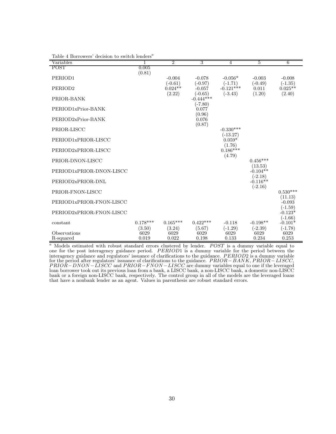| Variables                 |                         |                                  | 3                                  | 4                                     |                              | 6                                   |
|---------------------------|-------------------------|----------------------------------|------------------------------------|---------------------------------------|------------------------------|-------------------------------------|
| <b>POST</b>               | 0.005<br>(0.81)         |                                  |                                    |                                       |                              |                                     |
| PERIOD1                   |                         | $-0.004$                         | $-0.078$                           | $-0.056*$                             | $-0.003$                     | $-0.008$                            |
| PERIOD <sub>2</sub>       |                         | $(-0.61)$<br>$0.024**$<br>(2.22) | $(-0.97)$<br>$-0.057$<br>$(-0.65)$ | $(-1.71)$<br>$-0.121***$<br>$(-3.43)$ | $(-0.49)$<br>0.011<br>(1.20) | $(-1.35)$<br>$0.025**$<br>(2.40)    |
| PRIOR-BANK                |                         |                                  | $-0.444***$                        |                                       |                              |                                     |
| PERIOD1xPrior-BANK        |                         |                                  | $(-7.80)$<br>0.077<br>(0.96)       |                                       |                              |                                     |
| PERIOD2xPrior-BANK        |                         |                                  | 0.076                              |                                       |                              |                                     |
| PRIOR-LISCC               |                         |                                  | (0.87)                             | $-0.330***$                           |                              |                                     |
| PERIOD1xPRIOR-LISCC       |                         |                                  |                                    | $(-13.27)$<br>$0.059*$                |                              |                                     |
| PERIOD2xPRIOR-LISCC       |                         |                                  |                                    | (1.76)<br>$0.186***$<br>(4.79)        |                              |                                     |
| PRIOR-DNON-LISCC          |                         |                                  |                                    |                                       | $0.456***$                   |                                     |
| PERIOD1xPRIOR-DNON-LISCC  |                         |                                  |                                    |                                       | (13.53)<br>$-0.104**$        |                                     |
| PERIOD2xPRIOR-DNL         |                         |                                  |                                    |                                       | $(-2.18)$<br>$-0.116**$      |                                     |
| PRIOR-FNON-LISCC          |                         |                                  |                                    |                                       | $(-2.16)$                    | $0.530***$                          |
| PERIOD1xPRIOR-FNON-LISCC  |                         |                                  |                                    |                                       |                              | (11.13)<br>$-0.093$                 |
| PERIOD2xPRIOR-FNON-LISCC  |                         |                                  |                                    |                                       |                              | $(-1.59)$<br>$-0.123*$<br>$(-1.66)$ |
| constant                  | $0.178***$              | $0.165***$                       | $0.422***$                         | $-0.118$                              | $-0.198**$                   | $-0.101*$                           |
| Observations<br>R-squared | (3.50)<br>6029<br>0.019 | (3.24)<br>6029<br>0.022          | (5.67)<br>6029<br>0.198            | $(-1.29)$<br>6029<br>0.133            | $(-2.39)$<br>6029<br>0.234   | $(-1.78)$<br>6029<br>0.253          |

Table 4 Borrowers' decision to switch lenders<sup>a</sup>

<sup>a</sup> Models estimated with robust standard errors clustered by lender. *POST* is a dummy variable equal to one for the post interagency guidance period. *P ERIOD*1 is a dummy variable for the period between the interagency guidance and regulators' issuance of clarifications to the guidance. *P ERIOD*2 is a dummy variable for the period after regulators' issuance of clarifications to the guidance. *P RIOR*−*BANK, P RIOR* −*LISCC, P RIOR*−*DNON* −*LISCC* and *P RIOR*−*FNON* −*LISCC* are dummy variables equal to one if the leveraged loan borrower took out its previous loan from a bank, a LISCC bank, a non-LISCC bank, a domestic non-LISCC bank or a foreign non-LISCC bank, respectively. The control group in all of the models are the leveraged loans that have a nonbank lender as an agent. Values in parenthesis are robust standard errors.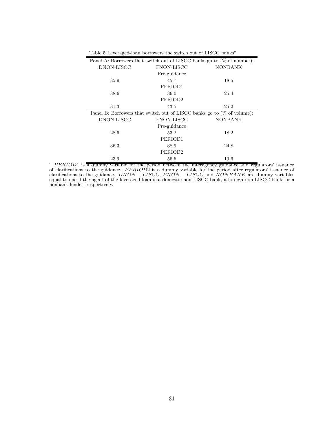| Panel A: Borrowers that switch out of LISCC banks go to $(\%$ of number): |                   |                |
|---------------------------------------------------------------------------|-------------------|----------------|
| DNON-LISCC                                                                | <b>FNON-LISCC</b> | <b>NONBANK</b> |
|                                                                           | Pre-guidance      |                |
| 35.9                                                                      | 45.7              | 18.5           |
|                                                                           | PERIOD1           |                |
| 38.6                                                                      | 36.0              | 25.4           |
|                                                                           | PERIOD2           |                |
| 31.3                                                                      | 43.5              | 25.2           |
| Panel B: Borrowers that switch out of LISCC banks go to $(\%$ of volume): |                   |                |
| DNON-LISCC                                                                | <b>FNON-LISCC</b> | <b>NONBANK</b> |
|                                                                           | Pre-guidance      |                |
| 28.6                                                                      | 53.2              | 18.2           |
|                                                                           | PERIOD1           |                |
| 36.3                                                                      | 38.9              | 24.8           |
|                                                                           | PERIOD2           |                |
| 23.9                                                                      | 56.5              | 19.6           |

Table 5 Leveraged-loan borrowers the switch out of LISCC banks<sup> $a$ </sup>

<sup>a</sup> PERIOD1 is a dummy variable for the period between the interagency guidance and regulators' issuance of clarifications to the guidance. *P ERIOD*2 is a dummy variable for the period after regulators' issuance of clarifications to the guidance. *DNON* − *LISCC, FNON* − *LISCC* and *NONBANK* are dummy variables equal to one if the agent of the leveraged loan is a domestic non-LISCC bank, a foreign non-LISCC bank, or a nonbank lender, respectively.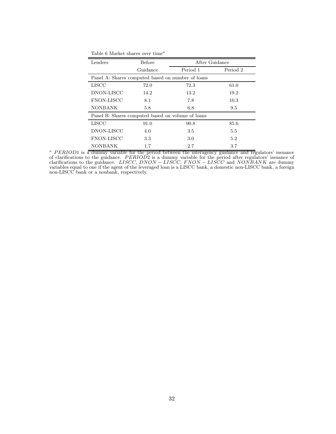| Lenders                                           | Before   | After Guidance |          |  |  |  |
|---------------------------------------------------|----------|----------------|----------|--|--|--|
|                                                   | Guidance | Period 1       | Period 2 |  |  |  |
| Panel A: Shares computed based on number of loans |          |                |          |  |  |  |
| <b>LISCC</b>                                      | 72.0     | 72.3           | 61.0     |  |  |  |
| DNON-LISCC                                        | 14.2     | 13.2           | 19.2     |  |  |  |
| <b>FNON-LISCC</b>                                 | 8.1      | 7.8            | 10.3     |  |  |  |
| <b>NONBANK</b>                                    | 5.8      | 6.8            | 9.5      |  |  |  |
| Panel B: Shares computed based on volume of loans |          |                |          |  |  |  |
| <b>LISCC</b>                                      | 91.0     | 90.8           | 85.6     |  |  |  |
| DNON-LISCC                                        | 4.0      | 3.5            | 5.5      |  |  |  |
| <b>FNON-LISCC</b>                                 | 3.3      | 3.0            | 5.2      |  |  |  |
| <b>NONBANK</b>                                    | 1.7      | 2.7            | 3.7      |  |  |  |

<sup>a</sup> PERIOD1 is a dummy variable for the period between the interagency guidance and regulators' issuance of clarifications to the guidance. *P ERIOD*2 is a dummy variable for the period after regulators' issuance of clarifications to the guidance. *LISCC, DNON* − *LISCC, FNON* − *LISCC* and *NONBANK* are dummy variables equal to one if the agent of the leveraged loan is a LISCC bank, a domestic non-LISCC bank, a foreign non-LISCC bank or a nonbank, respectively.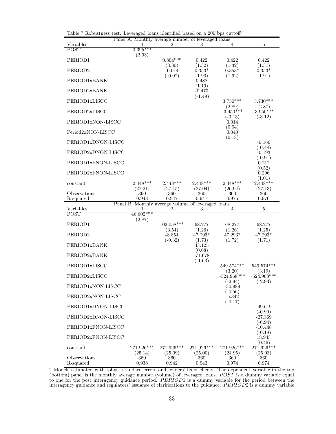|                           |                         | Panel A: Monthly average number of leveraged loans      |                           |                          |                                 |
|---------------------------|-------------------------|---------------------------------------------------------|---------------------------|--------------------------|---------------------------------|
| Variables                 | 1<br>$0.395***$         | 2                                                       | 3                         | 4                        | $\bf 5$                         |
| POST                      | (2.93)                  |                                                         |                           |                          |                                 |
| PERIOD1                   |                         | $0.804***$<br>(3.80)                                    | 0.422<br>(1.32)           | 0.422<br>(1.32)          | 0.422<br>(1.31)                 |
| PERIOD <sub>2</sub>       |                         | $-0.014$                                                | $0.353*$                  | $0.353*$                 | $0.353*$                        |
| PERIOD1xBANK              |                         | $(-0.07)$                                               | (1.93)<br>0.488<br>(1.19) | (1.92)                   | (1.91)                          |
| PERIOD2xBANK              |                         |                                                         | $-0.470$<br>$(-1.49)$     |                          |                                 |
| PERIOD1xLISCC             |                         |                                                         |                           | $3.730***$<br>(2.89)     | $3.730***$<br>(2.87)            |
| PERIOD2xLISCC             |                         |                                                         |                           | $-3.950***$<br>$(-3.13)$ | $-3.950***$<br>$(-3.12)$        |
| PERIOD1xNON-LISCC         |                         |                                                         |                           | 0.014<br>(0.04)          |                                 |
| Period2xNON-LISCC         |                         |                                                         |                           | 0.040<br>(0.18)          |                                 |
| PERIOD1xDNON-LISCC        |                         |                                                         |                           |                          | $-0.166$<br>$(-0.48)$           |
| PERIOD2xDNON-LISCC        |                         |                                                         |                           |                          | $-0.193$<br>$(-0.91)$           |
| PERIOD1xFNON-LISCC        |                         |                                                         |                           |                          | 0.212<br>(0.52)                 |
| PERIOD2xFNON-LISCC        |                         |                                                         |                           |                          | 0.296<br>(1.01)                 |
| constant                  | $2.448***$<br>(27.21)   | $2.448***$<br>(27.15)                                   | $2.448***$<br>(27.04)     | $2.448***$<br>(26.94)    | $2.448***$<br>(27.13)           |
| Observations<br>R-squared | 360<br>0.943            | 360<br>0.947                                            | 360<br>0.947              | 360<br>0.975             | 360<br>0.976                    |
| Variables                 |                         | Panel B: Monthly average volume of leveraged loans<br>2 | 3                         |                          | $\overline{5}$                  |
| POST                      | 1<br>$46.602***$        |                                                         |                           | 4                        |                                 |
| PERIOD1                   | (2.87)                  | 102.058***                                              | 68.277                    | 68.277                   | 68.277                          |
| PERIOD <sub>2</sub>       |                         | (3.54)<br>$-8.854$                                      | (1.26)<br>$47.293*$       | (1.26)<br>47.293*        | (1.25)                          |
| PERIOD1xBANK              |                         |                                                         |                           |                          | 47.293*                         |
|                           |                         | $(-0.32)$                                               | (1.73)<br>43.125          | (1.72)                   | (1.71)                          |
| PERIOD2xBANK              |                         |                                                         | (0.68)<br>$-71.678$       |                          |                                 |
| PERIOD1xLISCC             |                         |                                                         | $(-1.63)$                 | 549.574***               | 549.574***                      |
| PERIOD2xLISCC             |                         |                                                         |                           | (3.20)<br>$-524.968***$  | (3.19)<br>$-524.968***$         |
| PERIOD1xNON-LISCC         |                         |                                                         |                           | $(-2.94)$<br>$-30.989$   | $(-2.93)$                       |
| PERIOD2xNON-LISCC         |                         |                                                         |                           | $(-0.56)$<br>$-5.342$    |                                 |
| PERIOD1xDNON-LISCC        |                         |                                                         |                           | $(-0.17)$                | $-49.619$                       |
| PERIOD2xDNON-LISCC        |                         |                                                         |                           |                          | $(-0.90)$<br>$-27.369$          |
| PERIOD1xFNON-LISCC        |                         |                                                         |                           |                          | $(-0.94)$<br>$-10.448$          |
| PERIOD2xFNON-LISCC        |                         |                                                         |                           |                          | $(-0.18)$<br>18.943             |
| constant                  | $271.926***$<br>(25.14) | 271.926***<br>(25.09)                                   | 271.926***<br>(25.00)     | 271.926***<br>(24.95)    | (0.46)<br>271.926***<br>(25.03) |

Table 7 Robustness test: Leveraged loans identified based on a 200 bps  $\text{cuttoff}^a$ 

<sup>a</sup> Models estimated with robust standard errors and lenders' fixed effects. The dependent variable in the top (bottom) panel is the monthly average number (volume) of leveraged loans. *POST* is a dummy variable equal to one for the post interagency guidance period. *P ERIOD*1 is a dummy variable for the period between the interagency guidance and regulators' issuance of clarifications to the guidance. *P ERIOD*2 is a dummy variable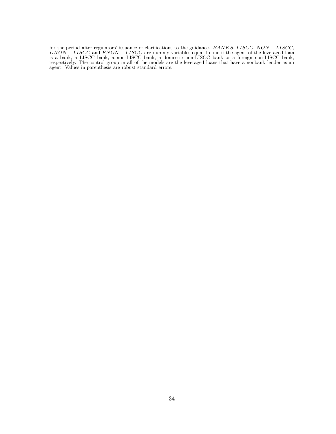for the period after regulators' issuance of clarifications to the guidance. *BANKS, LISCC, NON* − *LISCC, DNON* − *LISCC* and *FNON* − *LISCC* are dummy variables equal to one if the agent of the leveraged loan is a bank, a LISCC bank, a non-LISCC bank, a domestic non-LISCC bank or a foreign non-LISCC bank, respectively. The control group in all of the models are the leveraged loans that have a nonbank lender as an agent. Values in parenthesis are robust standard errors.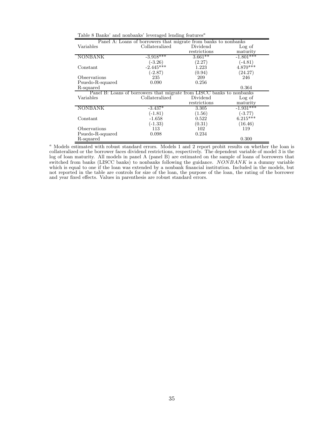| Panel A: Loans of borrowers that migrate from banks to nonbanks       |                |              |             |  |  |  |
|-----------------------------------------------------------------------|----------------|--------------|-------------|--|--|--|
| Variables                                                             | Collateralized | Dividend     | Log of      |  |  |  |
|                                                                       |                | restrictions | maturity    |  |  |  |
| <b>NONBANK</b>                                                        | $-3.918***$    | $3.661**$    | $-1.801***$ |  |  |  |
|                                                                       | $(-3.26)$      | (2.27)       | $(-4.81)$   |  |  |  |
| Constant                                                              | $-2.445***$    | 1.223        | $4.870***$  |  |  |  |
|                                                                       | $(-2.87)$      | (0.94)       | (24.27)     |  |  |  |
| Observations                                                          | 235            | 209          | 246         |  |  |  |
| Psuedo-R-squared                                                      | 0.090          | 0.256        |             |  |  |  |
| R-squared                                                             |                |              | 0.364       |  |  |  |
| Panel B: Loans of borrowers that migrate from LISCC banks to nonbanks |                |              |             |  |  |  |
| Variables                                                             | Collateralized | Dividend     | Log of      |  |  |  |
|                                                                       |                | restrictions | maturity    |  |  |  |
| NONBANK                                                               | $-3.437*$      | 3.305        | $-1.931***$ |  |  |  |
|                                                                       | $(-1.81)$      | (1.56)       | $(-3.77)$   |  |  |  |
| Constant                                                              | $-1.658$       | 0.522        | $6.215***$  |  |  |  |
|                                                                       | $(-1.33)$      | (0.31)       | (16.46)     |  |  |  |
| Observations                                                          | 113            | 102          | 119         |  |  |  |
| Psuedo-R-squared                                                      | 0.098          | 0.234        |             |  |  |  |
| R-squared                                                             |                |              | 0.300       |  |  |  |

Table 8 Banks' and nonbanks' leveraged lending features<sup> $a$ </sup>

<sup>a</sup> Models estimated with robust standard errors. Models 1 and 2 report probit results on whether the loan is collateralized or the borrower faces dividend restrictions, respectively. The dependent variable of model 3 is the log of loan maturity. All models in panel A (panel B) are estimated on the sample of loans of borrowers that switched from banks (LISCC banks) to nonbanks following the guidance. *NONBANK* is a dummy variable which is equal to one if the loan was extended by a nonbank financial institution. Included in the models, but not reported in the table are controls for size of the loan, the purpose of the loan, the rating of the borrower and year fixed effects. Values in parenthesis are robust standard errors.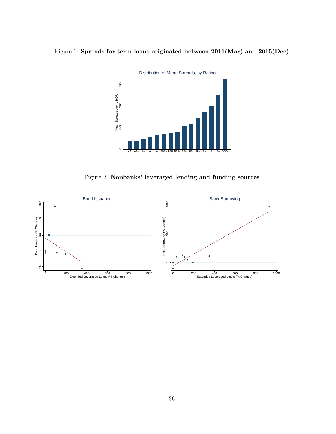# Figure 1: **Spreads for term loans originated between 2011(Mar) and 2015(Dec)**



Figure 2: **Nonbanks' leveraged lending and funding sources**

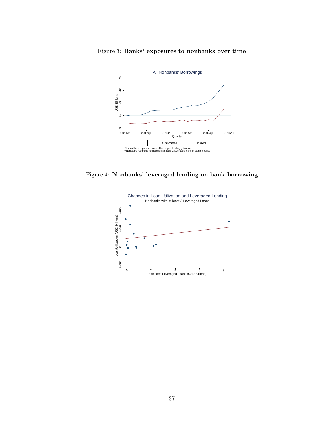

Figure 3: **Banks' exposures to nonbanks over time**

Figure 4: **Nonbanks' leveraged lending on bank borrowing**

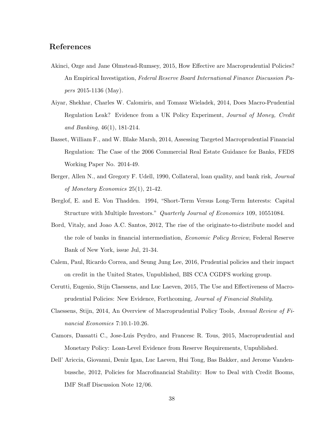# **References**

- Akinci, Ozge and Jane Olmstead-Rumsey, 2015, How Effective are Macroprudential Policies? An Empirical Investigation, *Federal Reserve Board International Finance Discussion Papers* 2015-1136 (May).
- Aiyar, Shekhar, Charles W. Calomiris, and Tomasz Wieladek, 2014, Does Macro-Prudential Regulation Leak? Evidence from a UK Policy Experiment, *Journal of Money, Credit and Banking*, 46(1), 181-214.
- Basset, William F., and W. Blake Marsh, 2014, Assessing Targeted Macroprudential Financial Regulation: The Case of the 2006 Commercial Real Estate Guidance for Banks, FEDS Working Paper No. 2014-49.
- Berger, Allen N., and Gregory F. Udell, 1990, Collateral, loan quality, and bank risk, *Journal of Monetary Economics* 25(1), 21-42.
- Berglof, E. and E. Von Thadden. 1994, "Short-Term Versus Long-Term Interests: Capital Structure with Multiple Investors." *Quarterly Journal of Economics* 109, 10551084.
- Bord, Vitaly, and Joao A.C. Santos, 2012, The rise of the originate-to-distribute model and the role of banks in financial intermediation, *Economic Policy Review*, Federal Reserve Bank of New York, issue Jul, 21-34.
- Calem, Paul, Ricardo Correa, and Seung Jung Lee, 2016, Prudential policies and their impact on credit in the United States, Unpublished, BIS CCA CGDFS working group.
- Cerutti, Eugenio, Stijn Claessens, and Luc Laeven, 2015, The Use and Effectiveness of Macroprudential Policies: New Evidence, Forthcoming, *Journal of Financial Stability*.
- Claessens, Stijn, 2014, An Overview of Macroprudential Policy Tools, *Annual Review of Financial Economics* 7:10.1-10.26.
- Camors, Dassatti C., Jose-Luis Peydro, and Francesc R. Tous, 2015, Macroprudential and Monetary Policy: Loan-Level Evidence from Reserve Requirements, Unpublished.
- Dell' Ariccia, Giovanni, Deniz Igan, Luc Laeven, Hui Tong, Bas Bakker, and Jerome Vandenbussche, 2012, Policies for Macrofinancial Stability: How to Deal with Credit Booms, IMF Staff Discussion Note 12/06.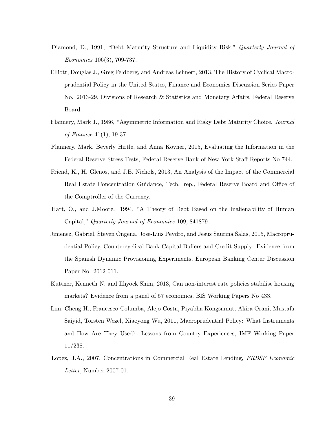- Diamond, D., 1991, "Debt Maturity Structure and Liquidity Risk," *Quarterly Journal of Economics* 106(3), 709-737.
- Elliott, Douglas J., Greg Feldberg, and Andreas Lehnert, 2013, The History of Cyclical Macroprudential Policy in the United States, Finance and Economics Discussion Series Paper No. 2013-29, Divisions of Research & Statistics and Monetary Affairs, Federal Reserve Board.
- Flannery, Mark J., 1986, "Asymmetric Information and Risky Debt Maturity Choice, *Journal of Finance* 41(1), 19-37.
- Flannery, Mark, Beverly Hirtle, and Anna Kovner, 2015, Evaluating the Information in the Federal Reserve Stress Tests, Federal Reserve Bank of New York Staff Reports No 744.
- Friend, K., H. Glenos, and J.B. Nichols, 2013, An Analysis of the Impact of the Commercial Real Estate Concentration Guidance, Tech. rep., Federal Reserve Board and Office of the Comptroller of the Currency.
- Hart, O., and J.Moore. 1994, "A Theory of Debt Based on the Inalienability of Human Capital," *Quarterly Journal of Economics* 109, 841879.
- Jimenez, Gabriel, Steven Ongena, Jose-Luis Peydro, and Jesus Saurina Salas, 2015, Macroprudential Policy, Countercyclical Bank Capital Buffers and Credit Supply: Evidence from the Spanish Dynamic Provisioning Experiments, European Banking Center Discussion Paper No. 2012-011.
- Kuttner, Kenneth N. and Ilhyock Shim, 2013, Can non-interest rate policies stabilise housing markets? Evidence from a panel of 57 economics, BIS Working Papers No 433.
- Lim, Cheng H., Francesco Columba, Alejo Costa, Piyabha Kongsamut, Akira Orani, Mustafa Saiyid, Torsten Wezel, Xiaoyong Wu, 2011, Macroprudential Policy: What Instruments and How Are They Used? Lessons from Country Experiences, IMF Working Paper 11/238.
- Lopez, J.A., 2007, Concentrations in Commercial Real Estate Lending, *FRBSF Economic Letter*, Number 2007-01.